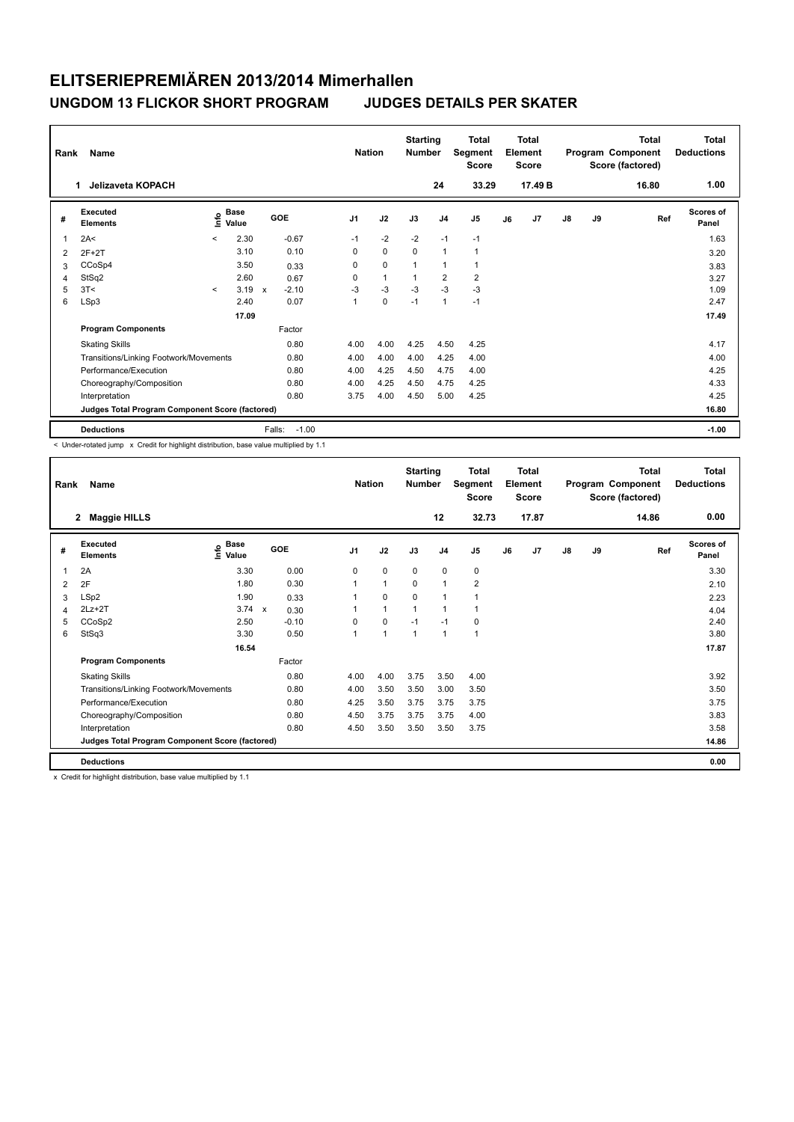| Rank | <b>Name</b><br>Jelizaveta KOPACH<br>1           |         |                      |            |         | <b>Nation</b>  |              | <b>Starting</b><br><b>Number</b> | 24             | <b>Total</b><br>Segment<br><b>Score</b><br>33.29 |    | <b>Total</b><br>Element<br><b>Score</b><br>17.49 B |               |    | <b>Total</b><br>Program Component<br>Score (factored)<br>16.80 | <b>Total</b><br><b>Deductions</b><br>1.00 |
|------|-------------------------------------------------|---------|----------------------|------------|---------|----------------|--------------|----------------------------------|----------------|--------------------------------------------------|----|----------------------------------------------------|---------------|----|----------------------------------------------------------------|-------------------------------------------|
| #    | Executed<br><b>Elements</b>                     | ۴       | <b>Base</b><br>Value | <b>GOE</b> |         | J <sub>1</sub> | J2           | J3                               | J <sub>4</sub> | J <sub>5</sub>                                   | J6 | J <sub>7</sub>                                     | $\mathsf{J}8$ | J9 | Ref                                                            | <b>Scores of</b><br>Panel                 |
| 1    | 2A<                                             | $\prec$ | 2.30                 |            | $-0.67$ | $-1$           | $-2$         | $-2$                             | $-1$           | $-1$                                             |    |                                                    |               |    |                                                                | 1.63                                      |
| 2    | $2F+2T$                                         |         | 3.10                 |            | 0.10    | 0              | $\mathbf 0$  | $\Omega$                         | $\mathbf{1}$   | 1                                                |    |                                                    |               |    |                                                                | 3.20                                      |
| 3    | CCoSp4                                          |         | 3.50                 |            | 0.33    | $\Omega$       | $\mathbf 0$  |                                  | $\overline{1}$ |                                                  |    |                                                    |               |    |                                                                | 3.83                                      |
| 4    | StSq2                                           |         | 2.60                 |            | 0.67    | 0              | $\mathbf{1}$ |                                  | $\overline{2}$ | 2                                                |    |                                                    |               |    |                                                                | 3.27                                      |
| 5    | 3T<                                             | $\prec$ | 3.19                 | X          | $-2.10$ | $-3$           | $-3$         | $-3$                             | $-3$           | $-3$                                             |    |                                                    |               |    |                                                                | 1.09                                      |
| 6    | LSp3                                            |         | 2.40                 |            | 0.07    | $\mathbf{1}$   | $\mathbf 0$  | $-1$                             | $\mathbf{1}$   | $-1$                                             |    |                                                    |               |    |                                                                | 2.47                                      |
|      |                                                 |         | 17.09                |            |         |                |              |                                  |                |                                                  |    |                                                    |               |    |                                                                | 17.49                                     |
|      | <b>Program Components</b>                       |         |                      |            | Factor  |                |              |                                  |                |                                                  |    |                                                    |               |    |                                                                |                                           |
|      | <b>Skating Skills</b>                           |         |                      |            | 0.80    | 4.00           | 4.00         | 4.25                             | 4.50           | 4.25                                             |    |                                                    |               |    |                                                                | 4.17                                      |
|      | Transitions/Linking Footwork/Movements          |         |                      |            | 0.80    | 4.00           | 4.00         | 4.00                             | 4.25           | 4.00                                             |    |                                                    |               |    |                                                                | 4.00                                      |
|      | Performance/Execution                           |         |                      |            | 0.80    | 4.00           | 4.25         | 4.50                             | 4.75           | 4.00                                             |    |                                                    |               |    |                                                                | 4.25                                      |
|      | Choreography/Composition                        |         |                      |            | 0.80    | 4.00           | 4.25         | 4.50                             | 4.75           | 4.25                                             |    |                                                    |               |    |                                                                | 4.33                                      |
|      | Interpretation                                  |         |                      |            | 0.80    | 3.75           | 4.00         | 4.50                             | 5.00           | 4.25                                             |    |                                                    |               |    |                                                                | 4.25                                      |
|      | Judges Total Program Component Score (factored) |         |                      |            |         |                |              |                                  |                |                                                  |    |                                                    |               |    |                                                                | 16.80                                     |
|      | <b>Deductions</b>                               |         |                      | Falls:     | $-1.00$ |                |              |                                  |                |                                                  |    |                                                    |               |    |                                                                | $-1.00$                                   |

< Under-rotated jump x Credit for highlight distribution, base value multiplied by 1.1

| Rank | Name                                            |                       |            | <b>Nation</b>  |              | <b>Starting</b><br><b>Number</b> |                | <b>Total</b><br>Segment<br><b>Score</b> |    | <b>Total</b><br>Element<br><b>Score</b> |    |    | <b>Total</b><br>Program Component<br>Score (factored) | <b>Total</b><br><b>Deductions</b> |
|------|-------------------------------------------------|-----------------------|------------|----------------|--------------|----------------------------------|----------------|-----------------------------------------|----|-----------------------------------------|----|----|-------------------------------------------------------|-----------------------------------|
|      | $\mathbf{2}$<br><b>Maggie HILLS</b>             |                       |            |                |              |                                  | 12             | 32.73                                   |    | 17.87                                   |    |    | 14.86                                                 | 0.00                              |
| #    | Executed<br><b>Elements</b>                     | $\sum_{i=1}^{n}$ Base | <b>GOE</b> | J <sub>1</sub> | J2           | J3                               | J <sub>4</sub> | J <sub>5</sub>                          | J6 | J7                                      | J8 | J9 | Ref                                                   | <b>Scores of</b><br>Panel         |
| 1    | 2A                                              | 3.30                  | 0.00       | 0              | 0            | $\mathbf 0$                      | $\mathbf 0$    | 0                                       |    |                                         |    |    |                                                       | 3.30                              |
| 2    | 2F                                              | 1.80                  | 0.30       | 1              | $\mathbf{1}$ | 0                                | 1              | 2                                       |    |                                         |    |    |                                                       | 2.10                              |
| 3    | LSp2                                            | 1.90                  | 0.33       |                | 0            | $\Omega$                         | $\mathbf{1}$   | 1                                       |    |                                         |    |    |                                                       | 2.23                              |
| 4    | $2Lz + 2T$                                      | 3.74 x                | 0.30       |                | $\mathbf{1}$ | $\mathbf{1}$                     | $\mathbf{1}$   | 1                                       |    |                                         |    |    |                                                       | 4.04                              |
| 5    | CCoSp2                                          | 2.50                  | $-0.10$    | 0              | 0            | $-1$                             | $-1$           | 0                                       |    |                                         |    |    |                                                       | 2.40                              |
| 6    | StSq3                                           | 3.30                  | 0.50       | 1              | $\mathbf{1}$ | $\mathbf{1}$                     | $\mathbf{1}$   | 1                                       |    |                                         |    |    |                                                       | 3.80                              |
|      |                                                 | 16.54                 |            |                |              |                                  |                |                                         |    |                                         |    |    |                                                       | 17.87                             |
|      | <b>Program Components</b>                       |                       | Factor     |                |              |                                  |                |                                         |    |                                         |    |    |                                                       |                                   |
|      | <b>Skating Skills</b>                           |                       | 0.80       | 4.00           | 4.00         | 3.75                             | 3.50           | 4.00                                    |    |                                         |    |    |                                                       | 3.92                              |
|      | Transitions/Linking Footwork/Movements          |                       | 0.80       | 4.00           | 3.50         | 3.50                             | 3.00           | 3.50                                    |    |                                         |    |    |                                                       | 3.50                              |
|      | Performance/Execution                           |                       | 0.80       | 4.25           | 3.50         | 3.75                             | 3.75           | 3.75                                    |    |                                         |    |    |                                                       | 3.75                              |
|      | Choreography/Composition                        |                       | 0.80       | 4.50           | 3.75         | 3.75                             | 3.75           | 4.00                                    |    |                                         |    |    |                                                       | 3.83                              |
|      | Interpretation                                  |                       | 0.80       | 4.50           | 3.50         | 3.50                             | 3.50           | 3.75                                    |    |                                         |    |    |                                                       | 3.58                              |
|      | Judges Total Program Component Score (factored) |                       |            |                |              |                                  |                |                                         |    |                                         |    |    |                                                       | 14.86                             |
|      | <b>Deductions</b>                               |                       |            |                |              |                                  |                |                                         |    |                                         |    |    |                                                       | 0.00                              |

x Credit for highlight distribution, base value multiplied by 1.1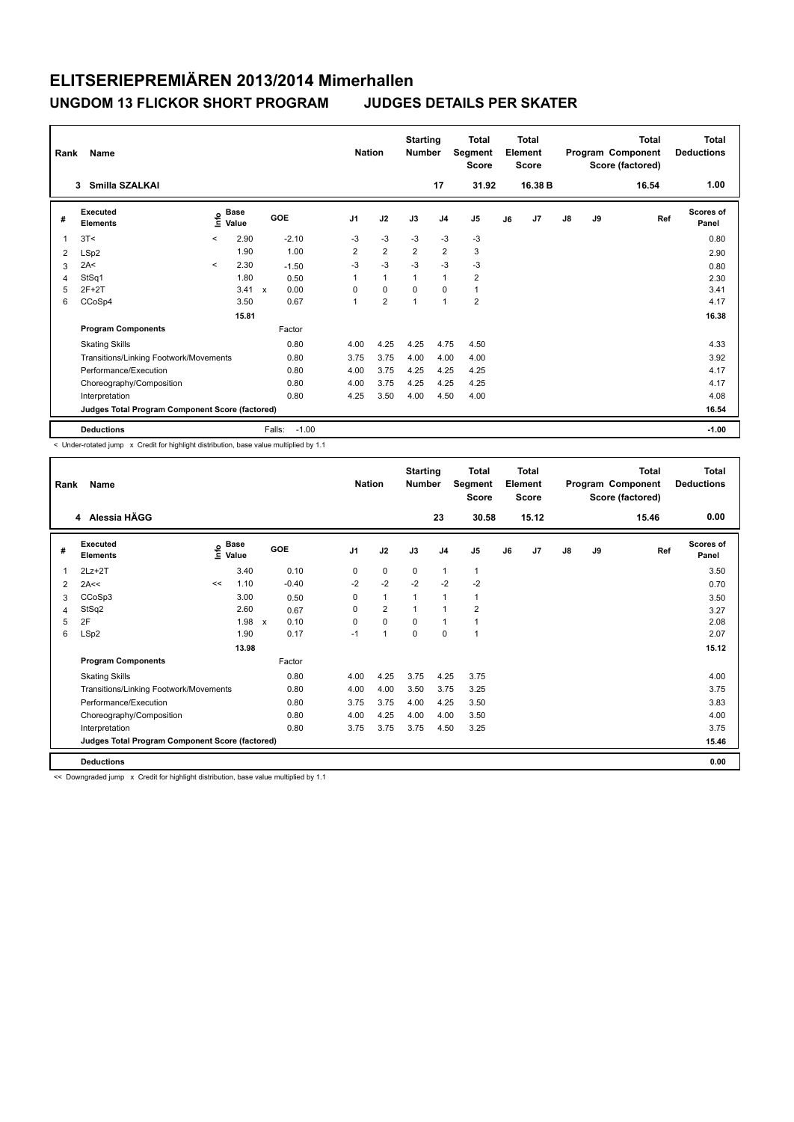| Rank | Name<br>Smilla SZALKAI<br>3                     |         |                      |              |            | <b>Nation</b>  |                | <b>Starting</b><br><b>Number</b> | 17             | <b>Total</b><br>Segment<br><b>Score</b><br>31.92 |    | <b>Total</b><br>Element<br><b>Score</b><br>16.38 B |               |    | <b>Total</b><br>Program Component<br>Score (factored)<br>16.54 | <b>Total</b><br><b>Deductions</b><br>1.00 |
|------|-------------------------------------------------|---------|----------------------|--------------|------------|----------------|----------------|----------------------------------|----------------|--------------------------------------------------|----|----------------------------------------------------|---------------|----|----------------------------------------------------------------|-------------------------------------------|
| #    | Executed<br><b>Elements</b>                     | ۴       | <b>Base</b><br>Value |              | <b>GOE</b> | J <sub>1</sub> | J2             | J3                               | J <sub>4</sub> | J <sub>5</sub>                                   | J6 | J <sub>7</sub>                                     | $\mathsf{J}8$ | J9 | Ref                                                            | <b>Scores of</b><br>Panel                 |
| 1    | 3T<                                             | $\prec$ | 2.90                 |              | $-2.10$    | $-3$           | $-3$           | $-3$                             | $-3$           | $-3$                                             |    |                                                    |               |    |                                                                | 0.80                                      |
| 2    | LSp2                                            |         | 1.90                 |              | 1.00       | 2              | $\overline{2}$ | $\overline{2}$                   | $\overline{2}$ | 3                                                |    |                                                    |               |    |                                                                | 2.90                                      |
| 3    | 2A<                                             | $\prec$ | 2.30                 |              | $-1.50$    | $-3$           | $-3$           | $-3$                             | $-3$           | $-3$                                             |    |                                                    |               |    |                                                                | 0.80                                      |
| 4    | StSq1                                           |         | 1.80                 |              | 0.50       | 1              | $\mathbf{1}$   | 1                                | $\mathbf{1}$   | $\overline{\mathbf{c}}$                          |    |                                                    |               |    |                                                                | 2.30                                      |
| 5    | $2F+2T$                                         |         | 3.41                 | $\mathsf{x}$ | 0.00       | $\Omega$       | $\mathbf 0$    | $\Omega$                         | $\mathbf 0$    | $\mathbf{1}$                                     |    |                                                    |               |    |                                                                | 3.41                                      |
| 6    | CCoSp4                                          |         | 3.50                 |              | 0.67       | $\mathbf{1}$   | $\overline{2}$ | 1                                | $\overline{1}$ | $\overline{2}$                                   |    |                                                    |               |    |                                                                | 4.17                                      |
|      |                                                 |         | 15.81                |              |            |                |                |                                  |                |                                                  |    |                                                    |               |    |                                                                | 16.38                                     |
|      | <b>Program Components</b>                       |         |                      |              | Factor     |                |                |                                  |                |                                                  |    |                                                    |               |    |                                                                |                                           |
|      | <b>Skating Skills</b>                           |         |                      |              | 0.80       | 4.00           | 4.25           | 4.25                             | 4.75           | 4.50                                             |    |                                                    |               |    |                                                                | 4.33                                      |
|      | Transitions/Linking Footwork/Movements          |         |                      |              | 0.80       | 3.75           | 3.75           | 4.00                             | 4.00           | 4.00                                             |    |                                                    |               |    |                                                                | 3.92                                      |
|      | Performance/Execution                           |         |                      |              | 0.80       | 4.00           | 3.75           | 4.25                             | 4.25           | 4.25                                             |    |                                                    |               |    |                                                                | 4.17                                      |
|      | Choreography/Composition                        |         |                      |              | 0.80       | 4.00           | 3.75           | 4.25                             | 4.25           | 4.25                                             |    |                                                    |               |    |                                                                | 4.17                                      |
|      | Interpretation                                  |         |                      |              | 0.80       | 4.25           | 3.50           | 4.00                             | 4.50           | 4.00                                             |    |                                                    |               |    |                                                                | 4.08                                      |
|      | Judges Total Program Component Score (factored) |         |                      |              |            |                |                |                                  |                |                                                  |    |                                                    |               |    |                                                                | 16.54                                     |
|      | <b>Deductions</b>                               |         |                      | Falls:       | $-1.00$    |                |                |                                  |                |                                                  |    |                                                    |               |    |                                                                | $-1.00$                                   |

< Under-rotated jump x Credit for highlight distribution, base value multiplied by 1.1

| Rank | Name                                            |    |                       |              |            | <b>Nation</b>  |                | <b>Starting</b><br><b>Number</b> |                | <b>Total</b><br>Segment<br><b>Score</b> |    | <b>Total</b><br>Element<br><b>Score</b> |               |    | <b>Total</b><br>Program Component<br>Score (factored) | <b>Total</b><br><b>Deductions</b> |
|------|-------------------------------------------------|----|-----------------------|--------------|------------|----------------|----------------|----------------------------------|----------------|-----------------------------------------|----|-----------------------------------------|---------------|----|-------------------------------------------------------|-----------------------------------|
|      | 4 Alessia HÄGG                                  |    |                       |              |            |                |                |                                  | 23             | 30.58                                   |    | 15.12                                   |               |    | 15.46                                                 | 0.00                              |
| #    | Executed<br><b>Elements</b>                     |    | $\sum_{i=1}^{n}$ Base |              | <b>GOE</b> | J <sub>1</sub> | J2             | J3                               | J <sub>4</sub> | J <sub>5</sub>                          | J6 | J7                                      | $\mathsf{J}8$ | J9 | Ref                                                   | <b>Scores of</b><br>Panel         |
| 1    | $2Lz+2T$                                        |    | 3.40                  |              | 0.10       | 0              | 0              | 0                                | $\mathbf{1}$   | 1                                       |    |                                         |               |    |                                                       | 3.50                              |
| 2    | 2A<<                                            | << | 1.10                  |              | $-0.40$    | $-2$           | $-2$           | $-2$                             | $-2$           | $-2$                                    |    |                                         |               |    |                                                       | 0.70                              |
| 3    | CCoSp3                                          |    | 3.00                  |              | 0.50       | $\Omega$       | $\mathbf{1}$   | 1                                | $\mathbf{1}$   | 1                                       |    |                                         |               |    |                                                       | 3.50                              |
| 4    | StSq2                                           |    | 2.60                  |              | 0.67       | 0              | $\overline{2}$ | 1                                | $\mathbf{1}$   | $\overline{2}$                          |    |                                         |               |    |                                                       | 3.27                              |
| 5    | 2F                                              |    | 1.98                  | $\mathsf{x}$ | 0.10       | $\Omega$       | 0              | $\Omega$                         | $\mathbf{1}$   | 1                                       |    |                                         |               |    |                                                       | 2.08                              |
| 6    | LSp2                                            |    | 1.90                  |              | 0.17       | $-1$           | 1              | $\mathbf 0$                      | $\mathbf 0$    | 1                                       |    |                                         |               |    |                                                       | 2.07                              |
|      |                                                 |    | 13.98                 |              |            |                |                |                                  |                |                                         |    |                                         |               |    |                                                       | 15.12                             |
|      | <b>Program Components</b>                       |    |                       |              | Factor     |                |                |                                  |                |                                         |    |                                         |               |    |                                                       |                                   |
|      | <b>Skating Skills</b>                           |    |                       |              | 0.80       | 4.00           | 4.25           | 3.75                             | 4.25           | 3.75                                    |    |                                         |               |    |                                                       | 4.00                              |
|      | Transitions/Linking Footwork/Movements          |    |                       |              | 0.80       | 4.00           | 4.00           | 3.50                             | 3.75           | 3.25                                    |    |                                         |               |    |                                                       | 3.75                              |
|      | Performance/Execution                           |    |                       |              | 0.80       | 3.75           | 3.75           | 4.00                             | 4.25           | 3.50                                    |    |                                         |               |    |                                                       | 3.83                              |
|      | Choreography/Composition                        |    |                       |              | 0.80       | 4.00           | 4.25           | 4.00                             | 4.00           | 3.50                                    |    |                                         |               |    |                                                       | 4.00                              |
|      | Interpretation                                  |    |                       |              | 0.80       | 3.75           | 3.75           | 3.75                             | 4.50           | 3.25                                    |    |                                         |               |    |                                                       | 3.75                              |
|      | Judges Total Program Component Score (factored) |    |                       |              |            |                |                |                                  |                |                                         |    |                                         |               |    |                                                       | 15.46                             |
|      | <b>Deductions</b>                               |    |                       |              |            |                |                |                                  |                |                                         |    |                                         |               |    |                                                       | 0.00                              |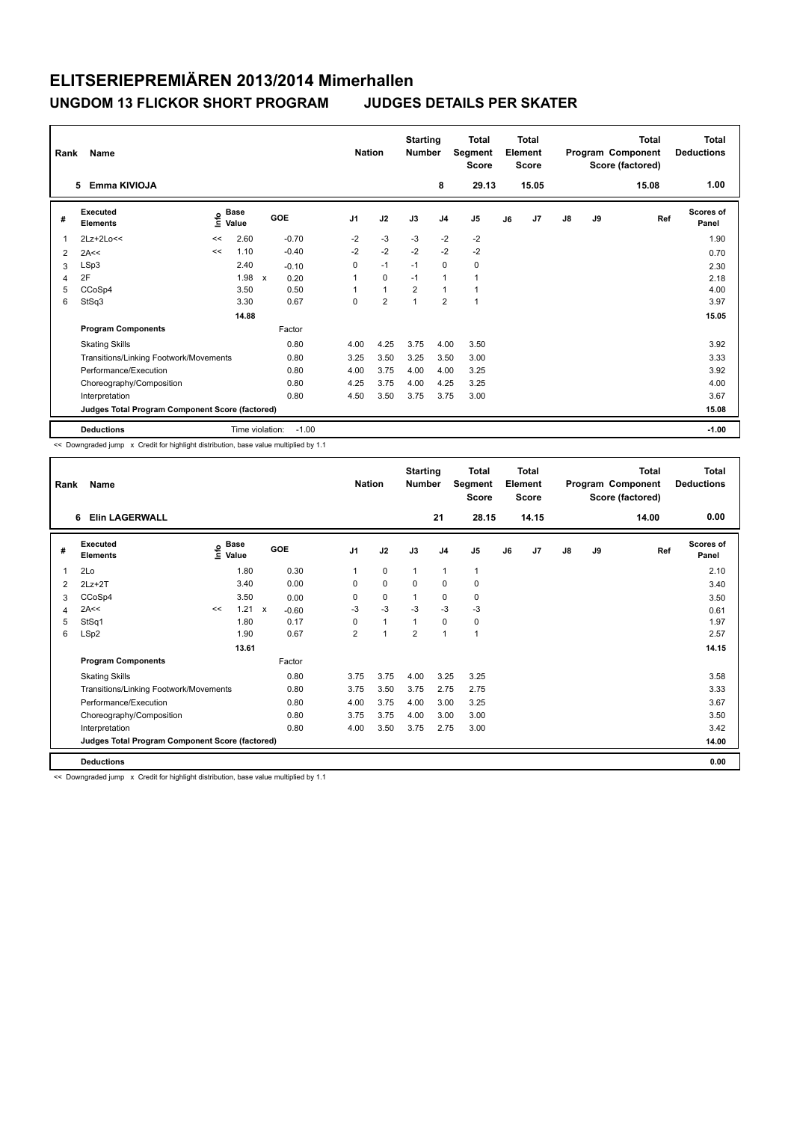| Rank        | <b>Name</b><br>Emma KIVIOJA<br>5                |      |                      |                                   |                | <b>Nation</b>  | <b>Starting</b><br><b>Number</b> | 8              | <b>Total</b><br>Segment<br><b>Score</b><br>29.13 |    | <b>Total</b><br>Element<br><b>Score</b><br>15.05 |               |    | <b>Total</b><br>Program Component<br>Score (factored)<br>15.08 | Total<br><b>Deductions</b><br>1.00 |
|-------------|-------------------------------------------------|------|----------------------|-----------------------------------|----------------|----------------|----------------------------------|----------------|--------------------------------------------------|----|--------------------------------------------------|---------------|----|----------------------------------------------------------------|------------------------------------|
|             |                                                 |      |                      |                                   |                |                |                                  |                |                                                  |    |                                                  |               |    |                                                                |                                    |
| #           | Executed<br><b>Elements</b>                     | lnfo | <b>Base</b><br>Value | GOE                               | J <sub>1</sub> | J2             | J3                               | J <sub>4</sub> | J5                                               | J6 | J7                                               | $\mathsf{J}8$ | J9 | Ref                                                            | <b>Scores of</b><br>Panel          |
| $\mathbf 1$ | 2Lz+2Lo<<                                       | <<   | 2.60                 | $-0.70$                           | $-2$           | $-3$           | $-3$                             | $-2$           | $-2$                                             |    |                                                  |               |    |                                                                | 1.90                               |
| 2           | 2A<<                                            | <<   | 1.10                 | $-0.40$                           | $-2$           | $-2$           | $-2$                             | $-2$           | $-2$                                             |    |                                                  |               |    |                                                                | 0.70                               |
| 3           | LSp3                                            |      | 2.40                 | $-0.10$                           | $\Omega$       | $-1$           | $-1$                             | $\mathbf 0$    | 0                                                |    |                                                  |               |    |                                                                | 2.30                               |
| 4           | 2F                                              |      | 1.98                 | $\boldsymbol{\mathsf{x}}$<br>0.20 | 1              | 0              | $-1$                             | $\mathbf{1}$   | 1                                                |    |                                                  |               |    |                                                                | 2.18                               |
| 5           | CCoSp4                                          |      | 3.50                 | 0.50                              |                | $\mathbf{1}$   | $\overline{2}$                   | $\overline{1}$ |                                                  |    |                                                  |               |    |                                                                | 4.00                               |
| 6           | StSq3                                           |      | 3.30                 | 0.67                              | 0              | $\overline{2}$ | 1                                | $\overline{2}$ | $\overline{1}$                                   |    |                                                  |               |    |                                                                | 3.97                               |
|             |                                                 |      | 14.88                |                                   |                |                |                                  |                |                                                  |    |                                                  |               |    |                                                                | 15.05                              |
|             | <b>Program Components</b>                       |      |                      | Factor                            |                |                |                                  |                |                                                  |    |                                                  |               |    |                                                                |                                    |
|             | <b>Skating Skills</b>                           |      |                      | 0.80                              | 4.00           | 4.25           | 3.75                             | 4.00           | 3.50                                             |    |                                                  |               |    |                                                                | 3.92                               |
|             | Transitions/Linking Footwork/Movements          |      |                      | 0.80                              | 3.25           | 3.50           | 3.25                             | 3.50           | 3.00                                             |    |                                                  |               |    |                                                                | 3.33                               |
|             | Performance/Execution                           |      |                      | 0.80                              | 4.00           | 3.75           | 4.00                             | 4.00           | 3.25                                             |    |                                                  |               |    |                                                                | 3.92                               |
|             | Choreography/Composition                        |      |                      | 0.80                              | 4.25           | 3.75           | 4.00                             | 4.25           | 3.25                                             |    |                                                  |               |    |                                                                | 4.00                               |
|             | Interpretation                                  |      |                      | 0.80                              | 4.50           | 3.50           | 3.75                             | 3.75           | 3.00                                             |    |                                                  |               |    |                                                                | 3.67                               |
|             | Judges Total Program Component Score (factored) |      |                      |                                   |                |                |                                  |                |                                                  |    |                                                  |               |    |                                                                | 15.08                              |
|             | <b>Deductions</b>                               |      |                      | Time violation:<br>$-1.00$        |                |                |                                  |                |                                                  |    |                                                  |               |    |                                                                | $-1.00$                            |

<< Downgraded jump x Credit for highlight distribution, base value multiplied by 1.1

| Rank | Name                                            |    |                       |              |         |                | <b>Nation</b> | <b>Starting</b><br><b>Number</b> |                | <b>Total</b><br>Segment<br><b>Score</b> |    | <b>Total</b><br>Element<br><b>Score</b> |    |    | <b>Total</b><br>Program Component<br>Score (factored) | Total<br><b>Deductions</b> |
|------|-------------------------------------------------|----|-----------------------|--------------|---------|----------------|---------------|----------------------------------|----------------|-----------------------------------------|----|-----------------------------------------|----|----|-------------------------------------------------------|----------------------------|
|      | <b>Elin LAGERWALL</b><br>6                      |    |                       |              |         |                |               |                                  | 21             | 28.15                                   |    | 14.15                                   |    |    | 14.00                                                 | 0.00                       |
| #    | Executed<br><b>Elements</b>                     |    | $\sum_{i=1}^{n}$ Base |              | GOE     | J <sub>1</sub> | J2            | J3                               | J <sub>4</sub> | J <sub>5</sub>                          | J6 | J <sub>7</sub>                          | J8 | J9 | Ref                                                   | Scores of<br>Panel         |
| 1    | 2Lo                                             |    | 1.80                  |              | 0.30    | 1              | 0             | $\mathbf{1}$                     | 1              | 1                                       |    |                                         |    |    |                                                       | 2.10                       |
| 2    | $2Lz+2T$                                        |    | 3.40                  |              | 0.00    | 0              | 0             | 0                                | 0              | 0                                       |    |                                         |    |    |                                                       | 3.40                       |
| 3    | CCoSp4                                          |    | 3.50                  |              | 0.00    | $\Omega$       | 0             | 1                                | $\mathbf 0$    | 0                                       |    |                                         |    |    |                                                       | 3.50                       |
| 4    | 2A<<                                            | << | 1.21                  | $\mathsf{x}$ | $-0.60$ | $-3$           | $-3$          | $-3$                             | $-3$           | $-3$                                    |    |                                         |    |    |                                                       | 0.61                       |
| 5    | StSq1                                           |    | 1.80                  |              | 0.17    | 0              | $\mathbf{1}$  | 1                                | $\mathbf 0$    | 0                                       |    |                                         |    |    |                                                       | 1.97                       |
| 6    | LSp2                                            |    | 1.90                  |              | 0.67    | $\overline{2}$ | 1             | $\overline{2}$                   | $\mathbf{1}$   | 1                                       |    |                                         |    |    |                                                       | 2.57                       |
|      |                                                 |    | 13.61                 |              |         |                |               |                                  |                |                                         |    |                                         |    |    |                                                       | 14.15                      |
|      | <b>Program Components</b>                       |    |                       |              | Factor  |                |               |                                  |                |                                         |    |                                         |    |    |                                                       |                            |
|      | <b>Skating Skills</b>                           |    |                       |              | 0.80    | 3.75           | 3.75          | 4.00                             | 3.25           | 3.25                                    |    |                                         |    |    |                                                       | 3.58                       |
|      | Transitions/Linking Footwork/Movements          |    |                       |              | 0.80    | 3.75           | 3.50          | 3.75                             | 2.75           | 2.75                                    |    |                                         |    |    |                                                       | 3.33                       |
|      | Performance/Execution                           |    |                       |              | 0.80    | 4.00           | 3.75          | 4.00                             | 3.00           | 3.25                                    |    |                                         |    |    |                                                       | 3.67                       |
|      | Choreography/Composition                        |    |                       |              | 0.80    | 3.75           | 3.75          | 4.00                             | 3.00           | 3.00                                    |    |                                         |    |    |                                                       | 3.50                       |
|      | Interpretation                                  |    |                       |              | 0.80    | 4.00           | 3.50          | 3.75                             | 2.75           | 3.00                                    |    |                                         |    |    |                                                       | 3.42                       |
|      | Judges Total Program Component Score (factored) |    |                       |              |         |                |               |                                  |                |                                         |    |                                         |    |    |                                                       | 14.00                      |
|      | <b>Deductions</b>                               |    |                       |              |         |                |               |                                  |                |                                         |    |                                         |    |    |                                                       | 0.00                       |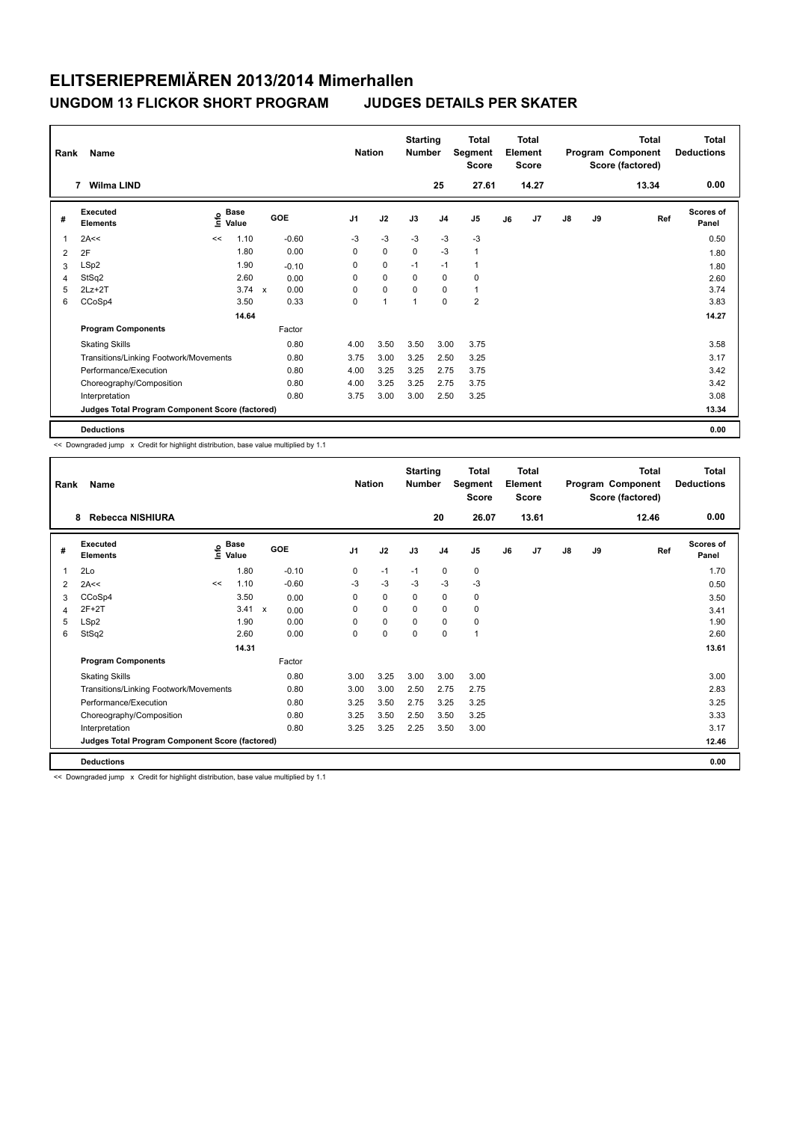| Rank           | Name                                            |    |                      |            |                | <b>Nation</b>  | <b>Starting</b><br><b>Number</b> |                | <b>Total</b><br>Segment<br><b>Score</b> |    | <b>Total</b><br>Element<br>Score |               |    | Total<br>Program Component<br>Score (factored) | <b>Total</b><br><b>Deductions</b> |
|----------------|-------------------------------------------------|----|----------------------|------------|----------------|----------------|----------------------------------|----------------|-----------------------------------------|----|----------------------------------|---------------|----|------------------------------------------------|-----------------------------------|
|                | Wilma LIND<br>7                                 |    |                      |            |                |                |                                  | 25             | 27.61                                   |    | 14.27                            |               |    | 13.34                                          | 0.00                              |
| #              | Executed<br><b>Elements</b>                     | ۴  | <b>Base</b><br>Value | <b>GOE</b> | J <sub>1</sub> | J2             | J3                               | J <sub>4</sub> | J <sub>5</sub>                          | J6 | J <sub>7</sub>                   | $\mathsf{J}8$ | J9 | Ref                                            | <b>Scores of</b><br>Panel         |
| $\overline{1}$ | 2A<<                                            | << | 1.10                 | $-0.60$    | -3             | $-3$           | $-3$                             | $-3$           | $-3$                                    |    |                                  |               |    |                                                | 0.50                              |
| 2              | 2F                                              |    | 1.80                 | 0.00       | 0              | $\mathbf 0$    | $\mathbf 0$                      | $-3$           | $\mathbf{1}$                            |    |                                  |               |    |                                                | 1.80                              |
| 3              | LSp2                                            |    | 1.90                 | $-0.10$    | 0              | 0              | $-1$                             | $-1$           | $\mathbf{1}$                            |    |                                  |               |    |                                                | 1.80                              |
| 4              | StSq2                                           |    | 2.60                 | 0.00       | 0              | $\mathbf 0$    | 0                                | $\mathbf 0$    | 0                                       |    |                                  |               |    |                                                | 2.60                              |
| 5              | $2Lz+2T$                                        |    | $3.74 \times$        | 0.00       | $\Omega$       | $\pmb{0}$      | $\Omega$                         | $\mathbf 0$    | $\mathbf{1}$                            |    |                                  |               |    |                                                | 3.74                              |
| 6              | CCoSp4                                          |    | 3.50                 | 0.33       | $\Omega$       | $\overline{1}$ |                                  | $\Omega$       | $\overline{\mathbf{c}}$                 |    |                                  |               |    |                                                | 3.83                              |
|                |                                                 |    | 14.64                |            |                |                |                                  |                |                                         |    |                                  |               |    |                                                | 14.27                             |
|                | <b>Program Components</b>                       |    |                      | Factor     |                |                |                                  |                |                                         |    |                                  |               |    |                                                |                                   |
|                | <b>Skating Skills</b>                           |    |                      | 0.80       | 4.00           | 3.50           | 3.50                             | 3.00           | 3.75                                    |    |                                  |               |    |                                                | 3.58                              |
|                | Transitions/Linking Footwork/Movements          |    |                      | 0.80       | 3.75           | 3.00           | 3.25                             | 2.50           | 3.25                                    |    |                                  |               |    |                                                | 3.17                              |
|                | Performance/Execution                           |    |                      | 0.80       | 4.00           | 3.25           | 3.25                             | 2.75           | 3.75                                    |    |                                  |               |    |                                                | 3.42                              |
|                | Choreography/Composition                        |    |                      | 0.80       | 4.00           | 3.25           | 3.25                             | 2.75           | 3.75                                    |    |                                  |               |    |                                                | 3.42                              |
|                | Interpretation                                  |    |                      | 0.80       | 3.75           | 3.00           | 3.00                             | 2.50           | 3.25                                    |    |                                  |               |    |                                                | 3.08                              |
|                | Judges Total Program Component Score (factored) |    |                      |            |                |                |                                  |                |                                         |    |                                  |               |    |                                                | 13.34                             |
|                | <b>Deductions</b>                               |    |                      |            |                |                |                                  |                |                                         |    |                                  |               |    |                                                | 0.00                              |

<< Downgraded jump x Credit for highlight distribution, base value multiplied by 1.1

| Rank | Name                                            |    |                                  |              |         |                | <b>Nation</b> | <b>Starting</b><br><b>Number</b> |                | Total<br>Segment<br><b>Score</b> |    | Total<br>Element<br><b>Score</b> |    |    | <b>Total</b><br>Program Component<br>Score (factored) | Total<br><b>Deductions</b> |
|------|-------------------------------------------------|----|----------------------------------|--------------|---------|----------------|---------------|----------------------------------|----------------|----------------------------------|----|----------------------------------|----|----|-------------------------------------------------------|----------------------------|
|      | Rebecca NISHIURA<br>8                           |    |                                  |              |         |                |               |                                  | 20             | 26.07                            |    | 13.61                            |    |    | 12.46                                                 | 0.00                       |
| #    | Executed<br><b>Elements</b>                     |    | <b>Base</b><br>e Base<br>E Value |              | GOE     | J <sub>1</sub> | J2            | J3                               | J <sub>4</sub> | J <sub>5</sub>                   | J6 | J <sub>7</sub>                   | J8 | J9 | Ref                                                   | <b>Scores of</b><br>Panel  |
| 1    | 2Lo                                             |    | 1.80                             |              | $-0.10$ | 0              | $-1$          | $-1$                             | $\mathbf 0$    | 0                                |    |                                  |    |    |                                                       | 1.70                       |
| 2    | 2A<<                                            | << | 1.10                             |              | $-0.60$ | -3             | $-3$          | $-3$                             | $-3$           | $-3$                             |    |                                  |    |    |                                                       | 0.50                       |
| 3    | CCoSp4                                          |    | 3.50                             |              | 0.00    | $\Omega$       | $\mathbf 0$   | $\Omega$                         | $\Omega$       | 0                                |    |                                  |    |    |                                                       | 3.50                       |
| 4    | $2F+2T$                                         |    | 3.41                             | $\mathsf{x}$ | 0.00    | $\Omega$       | $\Omega$      | $\Omega$                         | 0              | 0                                |    |                                  |    |    |                                                       | 3.41                       |
| 5    | LSp2                                            |    | 1.90                             |              | 0.00    | $\Omega$       | 0             | $\Omega$                         | $\Omega$       | 0                                |    |                                  |    |    |                                                       | 1.90                       |
| 6    | StSq2                                           |    | 2.60                             |              | 0.00    | 0              | $\mathbf 0$   | $\Omega$                         | 0              | $\mathbf{1}$                     |    |                                  |    |    |                                                       | 2.60                       |
|      |                                                 |    | 14.31                            |              |         |                |               |                                  |                |                                  |    |                                  |    |    |                                                       | 13.61                      |
|      | <b>Program Components</b>                       |    |                                  |              | Factor  |                |               |                                  |                |                                  |    |                                  |    |    |                                                       |                            |
|      | <b>Skating Skills</b>                           |    |                                  |              | 0.80    | 3.00           | 3.25          | 3.00                             | 3.00           | 3.00                             |    |                                  |    |    |                                                       | 3.00                       |
|      | Transitions/Linking Footwork/Movements          |    |                                  |              | 0.80    | 3.00           | 3.00          | 2.50                             | 2.75           | 2.75                             |    |                                  |    |    |                                                       | 2.83                       |
|      | Performance/Execution                           |    |                                  |              | 0.80    | 3.25           | 3.50          | 2.75                             | 3.25           | 3.25                             |    |                                  |    |    |                                                       | 3.25                       |
|      | Choreography/Composition                        |    |                                  |              | 0.80    | 3.25           | 3.50          | 2.50                             | 3.50           | 3.25                             |    |                                  |    |    |                                                       | 3.33                       |
|      | Interpretation                                  |    |                                  |              | 0.80    | 3.25           | 3.25          | 2.25                             | 3.50           | 3.00                             |    |                                  |    |    |                                                       | 3.17                       |
|      | Judges Total Program Component Score (factored) |    |                                  |              |         |                |               |                                  |                |                                  |    |                                  |    |    |                                                       | 12.46                      |
|      | <b>Deductions</b>                               |    |                                  |              |         |                |               |                                  |                |                                  |    |                                  |    |    |                                                       | 0.00                       |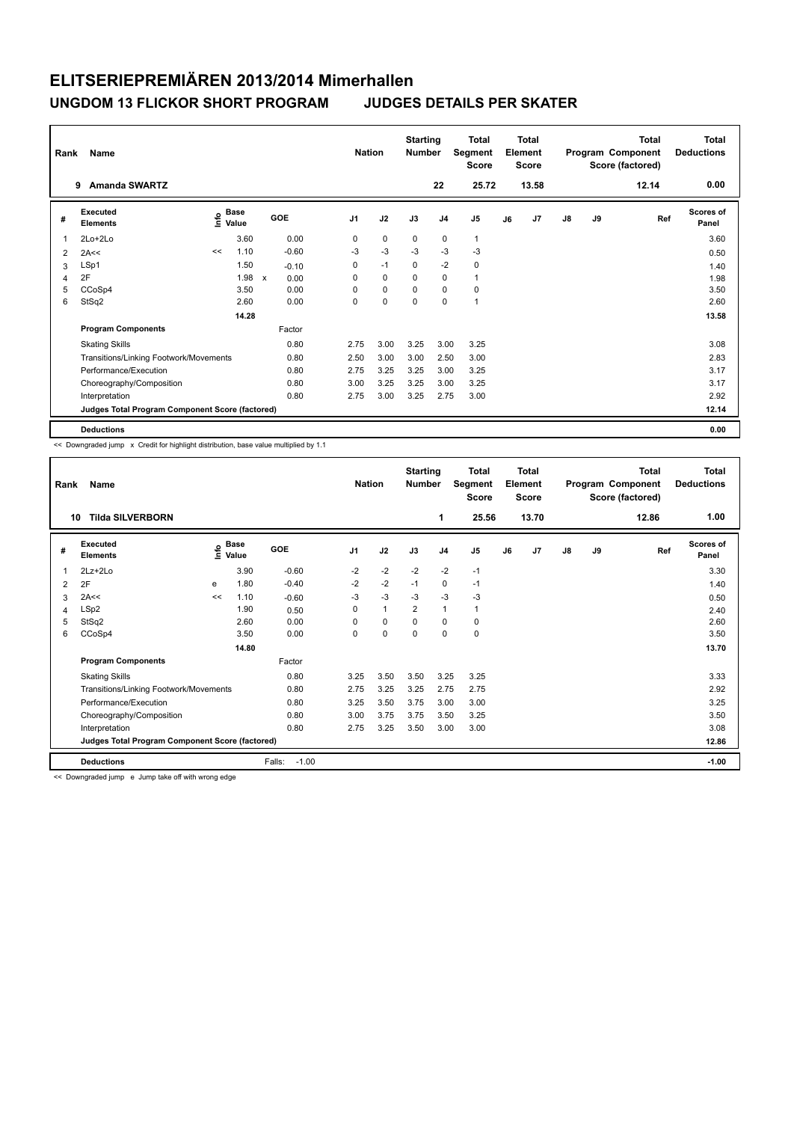| Rank | <b>Name</b>                                     |      |                      |              |         | <b>Nation</b>  |             | <b>Starting</b><br><b>Number</b> |                | <b>Total</b><br>Segment<br><b>Score</b> |    | <b>Total</b><br>Element<br><b>Score</b> |               |    | <b>Total</b><br>Program Component<br>Score (factored) | Total<br><b>Deductions</b> |
|------|-------------------------------------------------|------|----------------------|--------------|---------|----------------|-------------|----------------------------------|----------------|-----------------------------------------|----|-----------------------------------------|---------------|----|-------------------------------------------------------|----------------------------|
|      | <b>Amanda SWARTZ</b><br>9                       |      |                      |              |         |                |             |                                  | 22             | 25.72                                   |    | 13.58                                   |               |    | 12.14                                                 | 0.00                       |
| #    | Executed<br><b>Elements</b>                     | Info | <b>Base</b><br>Value |              | GOE     | J <sub>1</sub> | J2          | J3                               | J <sub>4</sub> | J <sub>5</sub>                          | J6 | J <sub>7</sub>                          | $\mathsf{J}8$ | J9 | Ref                                                   | <b>Scores of</b><br>Panel  |
| 1    | $2Lo+2Lo$                                       |      | 3.60                 |              | 0.00    | 0              | $\mathbf 0$ | $\mathbf 0$                      | $\mathbf 0$    | $\mathbf{1}$                            |    |                                         |               |    |                                                       | 3.60                       |
| 2    | 2A<<                                            | <<   | 1.10                 |              | $-0.60$ | -3             | $-3$        | $-3$                             | $-3$           | $-3$                                    |    |                                         |               |    |                                                       | 0.50                       |
| 3    | LSp1                                            |      | 1.50                 |              | $-0.10$ | 0              | $-1$        | 0                                | $-2$           | 0                                       |    |                                         |               |    |                                                       | 1.40                       |
| 4    | 2F                                              |      | 1.98                 | $\mathsf{x}$ | 0.00    | $\Omega$       | $\mathbf 0$ | $\Omega$                         | $\mathbf 0$    | $\mathbf{1}$                            |    |                                         |               |    |                                                       | 1.98                       |
| 5    | CCoSp4                                          |      | 3.50                 |              | 0.00    | 0              | $\pmb{0}$   | 0                                | $\mathbf 0$    | $\pmb{0}$                               |    |                                         |               |    |                                                       | 3.50                       |
| 6    | StSq2                                           |      | 2.60                 |              | 0.00    | 0              | $\mathbf 0$ | $\mathbf 0$                      | $\mathbf 0$    | $\overline{1}$                          |    |                                         |               |    |                                                       | 2.60                       |
|      |                                                 |      | 14.28                |              |         |                |             |                                  |                |                                         |    |                                         |               |    |                                                       | 13.58                      |
|      | <b>Program Components</b>                       |      |                      |              | Factor  |                |             |                                  |                |                                         |    |                                         |               |    |                                                       |                            |
|      | <b>Skating Skills</b>                           |      |                      |              | 0.80    | 2.75           | 3.00        | 3.25                             | 3.00           | 3.25                                    |    |                                         |               |    |                                                       | 3.08                       |
|      | Transitions/Linking Footwork/Movements          |      |                      |              | 0.80    | 2.50           | 3.00        | 3.00                             | 2.50           | 3.00                                    |    |                                         |               |    |                                                       | 2.83                       |
|      | Performance/Execution                           |      |                      |              | 0.80    | 2.75           | 3.25        | 3.25                             | 3.00           | 3.25                                    |    |                                         |               |    |                                                       | 3.17                       |
|      | Choreography/Composition                        |      |                      |              | 0.80    | 3.00           | 3.25        | 3.25                             | 3.00           | 3.25                                    |    |                                         |               |    |                                                       | 3.17                       |
|      | Interpretation                                  |      |                      |              | 0.80    | 2.75           | 3.00        | 3.25                             | 2.75           | 3.00                                    |    |                                         |               |    |                                                       | 2.92                       |
|      | Judges Total Program Component Score (factored) |      |                      |              |         |                |             |                                  |                |                                         |    |                                         |               |    |                                                       | 12.14                      |
|      | <b>Deductions</b>                               |      |                      |              |         |                |             |                                  |                |                                         |    |                                         |               |    |                                                       | 0.00                       |

<< Downgraded jump x Credit for highlight distribution, base value multiplied by 1.1

| Rank | Name                                            |         |                        |                   | <b>Nation</b>  |              | <b>Starting</b><br><b>Number</b> |                | Total<br>Segment<br><b>Score</b> |    | <b>Total</b><br>Element<br><b>Score</b> |    |    | <b>Total</b><br>Program Component<br>Score (factored) | <b>Total</b><br><b>Deductions</b> |
|------|-------------------------------------------------|---------|------------------------|-------------------|----------------|--------------|----------------------------------|----------------|----------------------------------|----|-----------------------------------------|----|----|-------------------------------------------------------|-----------------------------------|
| 10   | <b>Tilda SILVERBORN</b>                         |         |                        |                   |                |              |                                  | 1              | 25.56                            |    | 13.70                                   |    |    | 12.86                                                 | 1.00                              |
| #    | Executed<br><b>Elements</b>                     | $\circ$ | <b>Base</b><br>E Value | GOE               | J <sub>1</sub> | J2           | J3                               | J <sub>4</sub> | J <sub>5</sub>                   | J6 | J <sub>7</sub>                          | J8 | J9 | Ref                                                   | <b>Scores of</b><br>Panel         |
| 1    | $2Lz+2Lo$                                       |         | 3.90                   | $-0.60$           | $-2$           | $-2$         | $-2$                             | $-2$           | $-1$                             |    |                                         |    |    |                                                       | 3.30                              |
| 2    | 2F                                              | e       | 1.80                   | $-0.40$           | $-2$           | $-2$         | $-1$                             | 0              | $-1$                             |    |                                         |    |    |                                                       | 1.40                              |
| 3    | 2A<<                                            | <<      | 1.10                   | $-0.60$           | $-3$           | $-3$         | $-3$                             | $-3$           | $-3$                             |    |                                         |    |    |                                                       | 0.50                              |
| 4    | LSp2                                            |         | 1.90                   | 0.50              | 0              | $\mathbf{1}$ | $\overline{2}$                   | $\mathbf{1}$   | $\mathbf{1}$                     |    |                                         |    |    |                                                       | 2.40                              |
| 5    | StSq2                                           |         | 2.60                   | 0.00              | $\Omega$       | 0            | $\Omega$                         | 0              | 0                                |    |                                         |    |    |                                                       | 2.60                              |
| 6    | CCoSp4                                          |         | 3.50                   | 0.00              | 0              | 0            | 0                                | 0              | 0                                |    |                                         |    |    |                                                       | 3.50                              |
|      |                                                 |         | 14.80                  |                   |                |              |                                  |                |                                  |    |                                         |    |    |                                                       | 13.70                             |
|      | <b>Program Components</b>                       |         |                        | Factor            |                |              |                                  |                |                                  |    |                                         |    |    |                                                       |                                   |
|      | <b>Skating Skills</b>                           |         |                        | 0.80              | 3.25           | 3.50         | 3.50                             | 3.25           | 3.25                             |    |                                         |    |    |                                                       | 3.33                              |
|      | Transitions/Linking Footwork/Movements          |         |                        | 0.80              | 2.75           | 3.25         | 3.25                             | 2.75           | 2.75                             |    |                                         |    |    |                                                       | 2.92                              |
|      | Performance/Execution                           |         |                        | 0.80              | 3.25           | 3.50         | 3.75                             | 3.00           | 3.00                             |    |                                         |    |    |                                                       | 3.25                              |
|      | Choreography/Composition                        |         |                        | 0.80              | 3.00           | 3.75         | 3.75                             | 3.50           | 3.25                             |    |                                         |    |    |                                                       | 3.50                              |
|      | Interpretation                                  |         |                        | 0.80              | 2.75           | 3.25         | 3.50                             | 3.00           | 3.00                             |    |                                         |    |    |                                                       | 3.08                              |
|      | Judges Total Program Component Score (factored) |         |                        |                   |                |              |                                  |                |                                  |    |                                         |    |    |                                                       | 12.86                             |
|      | <b>Deductions</b>                               |         |                        | $-1.00$<br>Falls: |                |              |                                  |                |                                  |    |                                         |    |    |                                                       | $-1.00$                           |

<< Downgraded jump e Jump take off with wrong edge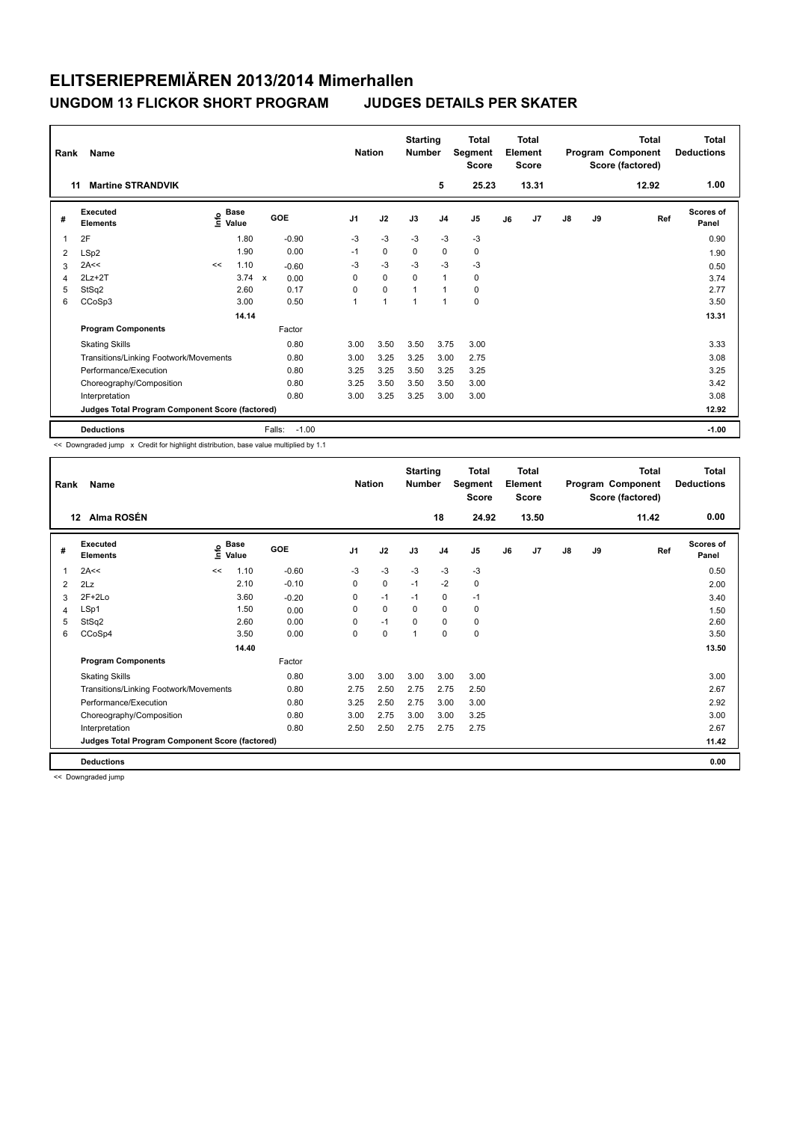| Rank<br>11 | Name<br><b>Martine STRANDVIK</b>                |    |                                    |              |         | <b>Nation</b>  |             | <b>Starting</b><br><b>Number</b> | 5              | <b>Total</b><br>Segment<br><b>Score</b><br>25.23 |    | <b>Total</b><br>Element<br><b>Score</b><br>13.31 |               |    | <b>Total</b><br>Program Component<br>Score (factored)<br>12.92 | <b>Total</b><br><b>Deductions</b><br>1.00 |
|------------|-------------------------------------------------|----|------------------------------------|--------------|---------|----------------|-------------|----------------------------------|----------------|--------------------------------------------------|----|--------------------------------------------------|---------------|----|----------------------------------------------------------------|-------------------------------------------|
| #          | Executed<br><b>Elements</b>                     |    | <b>Base</b><br>$\frac{6}{5}$ Value | GOE          |         | J <sub>1</sub> | J2          | J3                               | J <sub>4</sub> | J <sub>5</sub>                                   | J6 | J7                                               | $\mathsf{J}8$ | J9 | Ref                                                            | <b>Scores of</b><br>Panel                 |
| 1          | 2F                                              |    | 1.80                               |              | $-0.90$ | $-3$           | $-3$        | $-3$                             | $-3$           | $-3$                                             |    |                                                  |               |    |                                                                | 0.90                                      |
| 2          | LSp2                                            |    | 1.90                               |              | 0.00    | $-1$           | $\mathbf 0$ | 0                                | $\mathbf 0$    | $\mathbf 0$                                      |    |                                                  |               |    |                                                                | 1.90                                      |
| 3          | 2A<<                                            | << | 1.10                               |              | $-0.60$ | -3             | $-3$        | $-3$                             | $-3$           | $-3$                                             |    |                                                  |               |    |                                                                | 0.50                                      |
| 4          | $2Lz+2T$                                        |    | 3.74                               | $\mathsf{x}$ | 0.00    | 0              | $\mathbf 0$ | $\Omega$                         | $\mathbf{1}$   | 0                                                |    |                                                  |               |    |                                                                | 3.74                                      |
| 5          | StSq2                                           |    | 2.60                               |              | 0.17    | 0              | $\mathbf 0$ | 1                                | $\mathbf{1}$   | $\mathbf 0$                                      |    |                                                  |               |    |                                                                | 2.77                                      |
| 6          | CCoSp3                                          |    | 3.00                               |              | 0.50    | 1              | 1           | $\mathbf{1}$                     | $\overline{1}$ | $\pmb{0}$                                        |    |                                                  |               |    |                                                                | 3.50                                      |
|            |                                                 |    | 14.14                              |              |         |                |             |                                  |                |                                                  |    |                                                  |               |    |                                                                | 13.31                                     |
|            | <b>Program Components</b>                       |    |                                    |              | Factor  |                |             |                                  |                |                                                  |    |                                                  |               |    |                                                                |                                           |
|            | <b>Skating Skills</b>                           |    |                                    |              | 0.80    | 3.00           | 3.50        | 3.50                             | 3.75           | 3.00                                             |    |                                                  |               |    |                                                                | 3.33                                      |
|            | Transitions/Linking Footwork/Movements          |    |                                    |              | 0.80    | 3.00           | 3.25        | 3.25                             | 3.00           | 2.75                                             |    |                                                  |               |    |                                                                | 3.08                                      |
|            | Performance/Execution                           |    |                                    |              | 0.80    | 3.25           | 3.25        | 3.50                             | 3.25           | 3.25                                             |    |                                                  |               |    |                                                                | 3.25                                      |
|            | Choreography/Composition                        |    |                                    |              | 0.80    | 3.25           | 3.50        | 3.50                             | 3.50           | 3.00                                             |    |                                                  |               |    |                                                                | 3.42                                      |
|            | Interpretation                                  |    |                                    |              | 0.80    | 3.00           | 3.25        | 3.25                             | 3.00           | 3.00                                             |    |                                                  |               |    |                                                                | 3.08                                      |
|            | Judges Total Program Component Score (factored) |    |                                    |              |         |                |             |                                  |                |                                                  |    |                                                  |               |    |                                                                | 12.92                                     |
|            | <b>Deductions</b>                               |    |                                    | Falls:       | $-1.00$ |                |             |                                  |                |                                                  |    |                                                  |               |    |                                                                | $-1.00$                                   |

<< Downgraded jump x Credit for highlight distribution, base value multiplied by 1.1

| Rank | Name                                            |    |                       |            | <b>Nation</b>  |      | <b>Starting</b><br><b>Number</b> |                | <b>Total</b><br>Segment<br><b>Score</b> |    | <b>Total</b><br>Element<br><b>Score</b> |    |    | <b>Total</b><br>Program Component<br>Score (factored) | <b>Total</b><br><b>Deductions</b> |
|------|-------------------------------------------------|----|-----------------------|------------|----------------|------|----------------------------------|----------------|-----------------------------------------|----|-----------------------------------------|----|----|-------------------------------------------------------|-----------------------------------|
| 12   | Alma ROSÉN                                      |    |                       |            |                |      |                                  | 18             | 24.92                                   |    | 13.50                                   |    |    | 11.42                                                 | 0.00                              |
| #    | Executed<br><b>Elements</b>                     | Έ  | $\circ$ Base<br>Value | <b>GOE</b> | J <sub>1</sub> | J2   | J3                               | J <sub>4</sub> | J <sub>5</sub>                          | J6 | J7                                      | J8 | J9 | Ref                                                   | <b>Scores of</b><br>Panel         |
| 1    | 2A<<                                            | << | 1.10                  | $-0.60$    | $-3$           | $-3$ | $-3$                             | $-3$           | $-3$                                    |    |                                         |    |    |                                                       | 0.50                              |
| 2    | 2Lz                                             |    | 2.10                  | $-0.10$    | 0              | 0    | $-1$                             | $-2$           | 0                                       |    |                                         |    |    |                                                       | 2.00                              |
| 3    | $2F+2Lo$                                        |    | 3.60                  | $-0.20$    | 0              | $-1$ | $-1$                             | $\mathbf 0$    | $-1$                                    |    |                                         |    |    |                                                       | 3.40                              |
| 4    | LSp1                                            |    | 1.50                  | 0.00       | 0              | 0    | $\mathbf 0$                      | 0              | 0                                       |    |                                         |    |    |                                                       | 1.50                              |
| 5    | StSq2                                           |    | 2.60                  | 0.00       | 0              | $-1$ | $\mathbf 0$                      | 0              | 0                                       |    |                                         |    |    |                                                       | 2.60                              |
| 6    | CCoSp4                                          |    | 3.50                  | 0.00       | 0              | 0    | 1                                | 0              | 0                                       |    |                                         |    |    |                                                       | 3.50                              |
|      |                                                 |    | 14.40                 |            |                |      |                                  |                |                                         |    |                                         |    |    |                                                       | 13.50                             |
|      | <b>Program Components</b>                       |    |                       | Factor     |                |      |                                  |                |                                         |    |                                         |    |    |                                                       |                                   |
|      | <b>Skating Skills</b>                           |    |                       | 0.80       | 3.00           | 3.00 | 3.00                             | 3.00           | 3.00                                    |    |                                         |    |    |                                                       | 3.00                              |
|      | Transitions/Linking Footwork/Movements          |    |                       | 0.80       | 2.75           | 2.50 | 2.75                             | 2.75           | 2.50                                    |    |                                         |    |    |                                                       | 2.67                              |
|      | Performance/Execution                           |    |                       | 0.80       | 3.25           | 2.50 | 2.75                             | 3.00           | 3.00                                    |    |                                         |    |    |                                                       | 2.92                              |
|      | Choreography/Composition                        |    |                       | 0.80       | 3.00           | 2.75 | 3.00                             | 3.00           | 3.25                                    |    |                                         |    |    |                                                       | 3.00                              |
|      | Interpretation                                  |    |                       | 0.80       | 2.50           | 2.50 | 2.75                             | 2.75           | 2.75                                    |    |                                         |    |    |                                                       | 2.67                              |
|      | Judges Total Program Component Score (factored) |    |                       |            |                |      |                                  |                |                                         |    |                                         |    |    |                                                       | 11.42                             |
|      | <b>Deductions</b>                               |    |                       |            |                |      |                                  |                |                                         |    |                                         |    |    |                                                       | 0.00                              |

<< Downgraded jump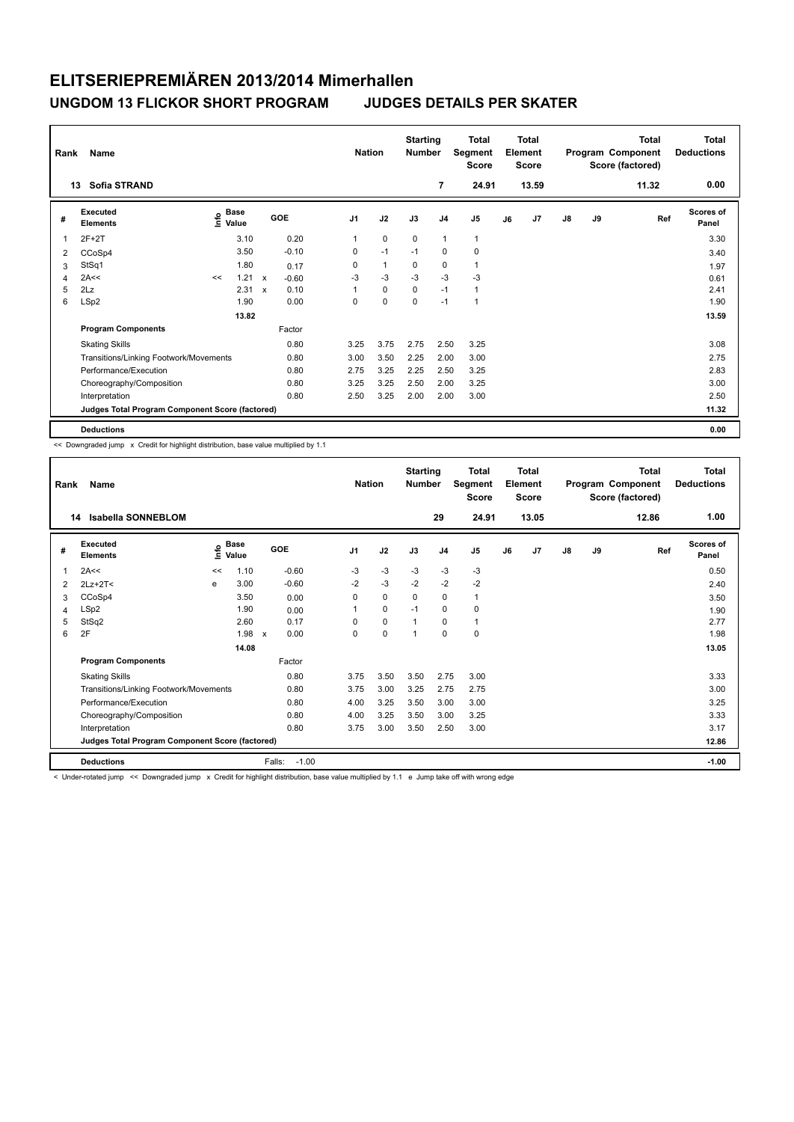| Rank                    | Name                                            |      |                      |                           |            |                | <b>Nation</b> | <b>Starting</b><br><b>Number</b> |                | Total<br>Segment<br><b>Score</b> |    | <b>Total</b><br>Element<br><b>Score</b> |               |    | <b>Total</b><br>Program Component<br>Score (factored) | <b>Total</b><br><b>Deductions</b> |
|-------------------------|-------------------------------------------------|------|----------------------|---------------------------|------------|----------------|---------------|----------------------------------|----------------|----------------------------------|----|-----------------------------------------|---------------|----|-------------------------------------------------------|-----------------------------------|
|                         | <b>Sofia STRAND</b><br>13                       |      |                      |                           |            |                |               |                                  | 7              | 24.91                            |    | 13.59                                   |               |    | 11.32                                                 | 0.00                              |
| #                       | Executed<br><b>Elements</b>                     | lnfo | <b>Base</b><br>Value |                           | <b>GOE</b> | J <sub>1</sub> | J2            | J3                               | J <sub>4</sub> | J <sub>5</sub>                   | J6 | J <sub>7</sub>                          | $\mathsf{J}8$ | J9 | Ref                                                   | Scores of<br>Panel                |
| $\overline{\mathbf{1}}$ | $2F+2T$                                         |      | 3.10                 |                           | 0.20       |                | $\mathbf 0$   | $\mathbf 0$                      | $\mathbf{1}$   | $\mathbf{1}$                     |    |                                         |               |    |                                                       | 3.30                              |
| 2                       | CCoSp4                                          |      | 3.50                 |                           | $-0.10$    | 0              | $-1$          | $-1$                             | 0              | 0                                |    |                                         |               |    |                                                       | 3.40                              |
| 3                       | StSq1                                           |      | 1.80                 |                           | 0.17       | 0              | $\mathbf{1}$  | 0                                | $\mathbf 0$    | $\mathbf{1}$                     |    |                                         |               |    |                                                       | 1.97                              |
| 4                       | 2A<<                                            | <<   | 1.21                 | $\mathsf{x}$              | $-0.60$    | $-3$           | $-3$          | $-3$                             | $-3$           | $-3$                             |    |                                         |               |    |                                                       | 0.61                              |
| 5                       | 2Lz                                             |      | 2.31                 | $\boldsymbol{\mathsf{x}}$ | 0.10       |                | $\pmb{0}$     | $\mathbf 0$                      | $-1$           | $\mathbf{1}$                     |    |                                         |               |    |                                                       | 2.41                              |
| 6                       | LSp2                                            |      | 1.90                 |                           | 0.00       | 0              | $\mathbf 0$   | 0                                | $-1$           | 1                                |    |                                         |               |    |                                                       | 1.90                              |
|                         |                                                 |      | 13.82                |                           |            |                |               |                                  |                |                                  |    |                                         |               |    |                                                       | 13.59                             |
|                         | <b>Program Components</b>                       |      |                      |                           | Factor     |                |               |                                  |                |                                  |    |                                         |               |    |                                                       |                                   |
|                         | <b>Skating Skills</b>                           |      |                      |                           | 0.80       | 3.25           | 3.75          | 2.75                             | 2.50           | 3.25                             |    |                                         |               |    |                                                       | 3.08                              |
|                         | Transitions/Linking Footwork/Movements          |      |                      |                           | 0.80       | 3.00           | 3.50          | 2.25                             | 2.00           | 3.00                             |    |                                         |               |    |                                                       | 2.75                              |
|                         | Performance/Execution                           |      |                      |                           | 0.80       | 2.75           | 3.25          | 2.25                             | 2.50           | 3.25                             |    |                                         |               |    |                                                       | 2.83                              |
|                         | Choreography/Composition                        |      |                      |                           | 0.80       | 3.25           | 3.25          | 2.50                             | 2.00           | 3.25                             |    |                                         |               |    |                                                       | 3.00                              |
|                         | Interpretation                                  |      |                      |                           | 0.80       | 2.50           | 3.25          | 2.00                             | 2.00           | 3.00                             |    |                                         |               |    |                                                       | 2.50                              |
|                         | Judges Total Program Component Score (factored) |      |                      |                           |            |                |               |                                  |                |                                  |    |                                         |               |    |                                                       | 11.32                             |
|                         | <b>Deductions</b>                               |      |                      |                           |            |                |               |                                  |                |                                  |    |                                         |               |    |                                                       | 0.00                              |

<< Downgraded jump x Credit for highlight distribution, base value multiplied by 1.1

| Rank | Name                                            |                |                      |                   | <b>Nation</b>  |      | <b>Starting</b><br><b>Number</b> |                | Total<br>Segment<br><b>Score</b> |    | <b>Total</b><br>Element<br><b>Score</b> |    |    | <b>Total</b><br>Program Component<br>Score (factored) | Total<br><b>Deductions</b> |
|------|-------------------------------------------------|----------------|----------------------|-------------------|----------------|------|----------------------------------|----------------|----------------------------------|----|-----------------------------------------|----|----|-------------------------------------------------------|----------------------------|
| 14   | Isabella SONNEBLOM                              |                |                      |                   |                |      |                                  | 29             | 24.91                            |    | 13.05                                   |    |    | 12.86                                                 | 1.00                       |
| #    | Executed<br><b>Elements</b>                     | $\bullet$<br>Έ | <b>Base</b><br>Value | <b>GOE</b>        | J <sub>1</sub> | J2   | J3                               | J <sub>4</sub> | J <sub>5</sub>                   | J6 | J <sub>7</sub>                          | J8 | J9 | Ref                                                   | Scores of<br>Panel         |
| 1    | 2A<<                                            | <<             | 1.10                 | $-0.60$           | $-3$           | $-3$ | $-3$                             | $-3$           | $-3$                             |    |                                         |    |    |                                                       | 0.50                       |
| 2    | $2Lz+2T<$                                       | e              | 3.00                 | $-0.60$           | $-2$           | $-3$ | $-2$                             | $-2$           | $-2$                             |    |                                         |    |    |                                                       | 2.40                       |
| 3    | CCoSp4                                          |                | 3.50                 | 0.00              | 0              | 0    | 0                                | 0              | 1                                |    |                                         |    |    |                                                       | 3.50                       |
| 4    | LSp2                                            |                | 1.90                 | 0.00              |                | 0    | $-1$                             | 0              | 0                                |    |                                         |    |    |                                                       | 1.90                       |
| 5    | StSq2                                           |                | 2.60                 | 0.17              | $\Omega$       | 0    | 1                                | 0              | 1                                |    |                                         |    |    |                                                       | 2.77                       |
| 6    | 2F                                              |                | 1.98 x               | 0.00              | 0              | 0    | 1                                | $\mathbf 0$    | 0                                |    |                                         |    |    |                                                       | 1.98                       |
|      |                                                 |                | 14.08                |                   |                |      |                                  |                |                                  |    |                                         |    |    |                                                       | 13.05                      |
|      | <b>Program Components</b>                       |                |                      | Factor            |                |      |                                  |                |                                  |    |                                         |    |    |                                                       |                            |
|      | <b>Skating Skills</b>                           |                |                      | 0.80              | 3.75           | 3.50 | 3.50                             | 2.75           | 3.00                             |    |                                         |    |    |                                                       | 3.33                       |
|      | Transitions/Linking Footwork/Movements          |                |                      | 0.80              | 3.75           | 3.00 | 3.25                             | 2.75           | 2.75                             |    |                                         |    |    |                                                       | 3.00                       |
|      | Performance/Execution                           |                |                      | 0.80              | 4.00           | 3.25 | 3.50                             | 3.00           | 3.00                             |    |                                         |    |    |                                                       | 3.25                       |
|      | Choreography/Composition                        |                |                      | 0.80              | 4.00           | 3.25 | 3.50                             | 3.00           | 3.25                             |    |                                         |    |    |                                                       | 3.33                       |
|      | Interpretation                                  |                |                      | 0.80              | 3.75           | 3.00 | 3.50                             | 2.50           | 3.00                             |    |                                         |    |    |                                                       | 3.17                       |
|      | Judges Total Program Component Score (factored) |                |                      |                   |                |      |                                  |                |                                  |    |                                         |    |    |                                                       | 12.86                      |
|      | <b>Deductions</b>                               |                |                      | Falls:<br>$-1.00$ |                |      |                                  |                |                                  |    |                                         |    |    |                                                       | $-1.00$                    |

< Under-rotated jump << Downgraded jump x Credit for highlight distribution, base value multiplied by 1.1 e Jump take off with wrong edge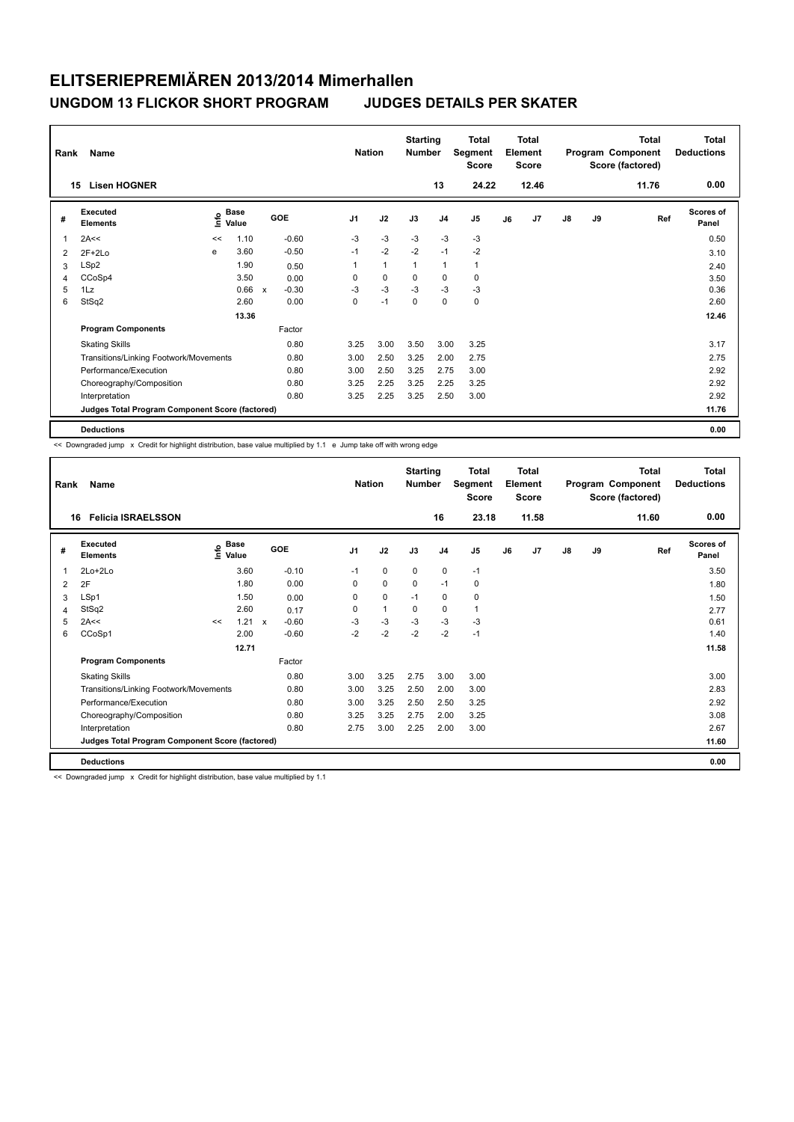| Rank | Name                                            |      |                      |              |            |                | <b>Nation</b> | <b>Starting</b><br><b>Number</b> |                | <b>Total</b><br>Segment<br><b>Score</b> |    | <b>Total</b><br>Element<br>Score |               |    | <b>Total</b><br>Program Component<br>Score (factored) | <b>Total</b><br><b>Deductions</b> |
|------|-------------------------------------------------|------|----------------------|--------------|------------|----------------|---------------|----------------------------------|----------------|-----------------------------------------|----|----------------------------------|---------------|----|-------------------------------------------------------|-----------------------------------|
|      | <b>Lisen HOGNER</b><br>15                       |      |                      |              |            |                |               |                                  | 13             | 24.22                                   |    | 12.46                            |               |    | 11.76                                                 | 0.00                              |
| #    | Executed<br><b>Elements</b>                     | ١nfo | <b>Base</b><br>Value |              | <b>GOE</b> | J <sub>1</sub> | J2            | J3                               | J <sub>4</sub> | J <sub>5</sub>                          | J6 | J7                               | $\mathsf{J}8$ | J9 | Ref                                                   | Scores of<br>Panel                |
| 1    | 2A<<                                            | <<   | 1.10                 |              | $-0.60$    | $-3$           | $-3$          | $-3$                             | $-3$           | $-3$                                    |    |                                  |               |    |                                                       | 0.50                              |
| 2    | $2F+2Lo$                                        | e    | 3.60                 |              | $-0.50$    | $-1$           | $-2$          | $-2$                             | $-1$           | $-2$                                    |    |                                  |               |    |                                                       | 3.10                              |
| 3    | LSp2                                            |      | 1.90                 |              | 0.50       | 1              | $\mathbf{1}$  | 1                                | $\mathbf{1}$   | $\mathbf{1}$                            |    |                                  |               |    |                                                       | 2.40                              |
| 4    | CCoSp4                                          |      | 3.50                 |              | 0.00       | 0              | 0             | 0                                | 0              | 0                                       |    |                                  |               |    |                                                       | 3.50                              |
| 5    | 1Lz                                             |      | 0.66                 | $\mathsf{x}$ | $-0.30$    | $-3$           | $-3$          | $-3$                             | $-3$           | $-3$                                    |    |                                  |               |    |                                                       | 0.36                              |
| 6    | StSq2                                           |      | 2.60                 |              | 0.00       | 0              | $-1$          | $\mathbf 0$                      | $\mathbf 0$    | $\mathbf 0$                             |    |                                  |               |    |                                                       | 2.60                              |
|      |                                                 |      | 13.36                |              |            |                |               |                                  |                |                                         |    |                                  |               |    |                                                       | 12.46                             |
|      | <b>Program Components</b>                       |      |                      |              | Factor     |                |               |                                  |                |                                         |    |                                  |               |    |                                                       |                                   |
|      | <b>Skating Skills</b>                           |      |                      |              | 0.80       | 3.25           | 3.00          | 3.50                             | 3.00           | 3.25                                    |    |                                  |               |    |                                                       | 3.17                              |
|      | Transitions/Linking Footwork/Movements          |      |                      |              | 0.80       | 3.00           | 2.50          | 3.25                             | 2.00           | 2.75                                    |    |                                  |               |    |                                                       | 2.75                              |
|      | Performance/Execution                           |      |                      |              | 0.80       | 3.00           | 2.50          | 3.25                             | 2.75           | 3.00                                    |    |                                  |               |    |                                                       | 2.92                              |
|      | Choreography/Composition                        |      |                      |              | 0.80       | 3.25           | 2.25          | 3.25                             | 2.25           | 3.25                                    |    |                                  |               |    |                                                       | 2.92                              |
|      | Interpretation                                  |      |                      |              | 0.80       | 3.25           | 2.25          | 3.25                             | 2.50           | 3.00                                    |    |                                  |               |    |                                                       | 2.92                              |
|      | Judges Total Program Component Score (factored) |      |                      |              |            |                |               |                                  |                |                                         |    |                                  |               |    |                                                       | 11.76                             |
|      | <b>Deductions</b>                               |      |                      |              |            |                |               |                                  |                |                                         |    |                                  |               |    |                                                       | 0.00                              |

<< Downgraded jump x Credit for highlight distribution, base value multiplied by 1.1 e Jump take off with wrong edge

| Rank | Name                                            |    |                      |         |                | <b>Nation</b> | <b>Starting</b><br><b>Number</b> |                | <b>Total</b><br>Segment<br><b>Score</b> |    | <b>Total</b><br>Element<br><b>Score</b> |               |    | <b>Total</b><br>Program Component<br>Score (factored) | <b>Total</b><br><b>Deductions</b> |
|------|-------------------------------------------------|----|----------------------|---------|----------------|---------------|----------------------------------|----------------|-----------------------------------------|----|-----------------------------------------|---------------|----|-------------------------------------------------------|-----------------------------------|
|      | <b>Felicia ISRAELSSON</b><br>16                 |    |                      |         |                |               |                                  | 16             | 23.18                                   |    | 11.58                                   |               |    | 11.60                                                 | 0.00                              |
| #    | Executed<br><b>Elements</b>                     | ١m | <b>Base</b><br>Value | GOE     | J <sub>1</sub> | J2            | J3                               | J <sub>4</sub> | J5                                      | J6 | J7                                      | $\mathsf{J}8$ | J9 | Ref                                                   | Scores of<br>Panel                |
|      | $2Lo+2Lo$                                       |    | 3.60                 | $-0.10$ | $-1$           | $\mathbf 0$   | 0                                | $\mathbf 0$    | $-1$                                    |    |                                         |               |    |                                                       | 3.50                              |
| 2    | 2F                                              |    | 1.80                 | 0.00    | 0              | $\mathbf 0$   | $\Omega$                         | $-1$           | 0                                       |    |                                         |               |    |                                                       | 1.80                              |
| 3    | LSp1                                            |    | 1.50                 | 0.00    | 0              | 0             | $-1$                             | 0              | 0                                       |    |                                         |               |    |                                                       | 1.50                              |
| 4    | StSq2                                           |    | 2.60                 | 0.17    | $\Omega$       | $\mathbf{1}$  | $\Omega$                         | 0              | 1                                       |    |                                         |               |    |                                                       | 2.77                              |
| 5    | 2A<<                                            | << | $1.21 \times$        | $-0.60$ | $-3$           | -3            | $-3$                             | $-3$           | $-3$                                    |    |                                         |               |    |                                                       | 0.61                              |
| 6    | CCoSp1                                          |    | 2.00                 | $-0.60$ | $-2$           | $-2$          | $-2$                             | $-2$           | $-1$                                    |    |                                         |               |    |                                                       | 1.40                              |
|      |                                                 |    | 12.71                |         |                |               |                                  |                |                                         |    |                                         |               |    |                                                       | 11.58                             |
|      | <b>Program Components</b>                       |    |                      | Factor  |                |               |                                  |                |                                         |    |                                         |               |    |                                                       |                                   |
|      | <b>Skating Skills</b>                           |    |                      | 0.80    | 3.00           | 3.25          | 2.75                             | 3.00           | 3.00                                    |    |                                         |               |    |                                                       | 3.00                              |
|      | Transitions/Linking Footwork/Movements          |    |                      | 0.80    | 3.00           | 3.25          | 2.50                             | 2.00           | 3.00                                    |    |                                         |               |    |                                                       | 2.83                              |
|      | Performance/Execution                           |    |                      | 0.80    | 3.00           | 3.25          | 2.50                             | 2.50           | 3.25                                    |    |                                         |               |    |                                                       | 2.92                              |
|      | Choreography/Composition                        |    |                      | 0.80    | 3.25           | 3.25          | 2.75                             | 2.00           | 3.25                                    |    |                                         |               |    |                                                       | 3.08                              |
|      | Interpretation                                  |    |                      | 0.80    | 2.75           | 3.00          | 2.25                             | 2.00           | 3.00                                    |    |                                         |               |    |                                                       | 2.67                              |
|      | Judges Total Program Component Score (factored) |    |                      |         |                |               |                                  |                |                                         |    |                                         |               |    |                                                       | 11.60                             |
|      | <b>Deductions</b>                               |    |                      |         |                |               |                                  |                |                                         |    |                                         |               |    |                                                       | 0.00                              |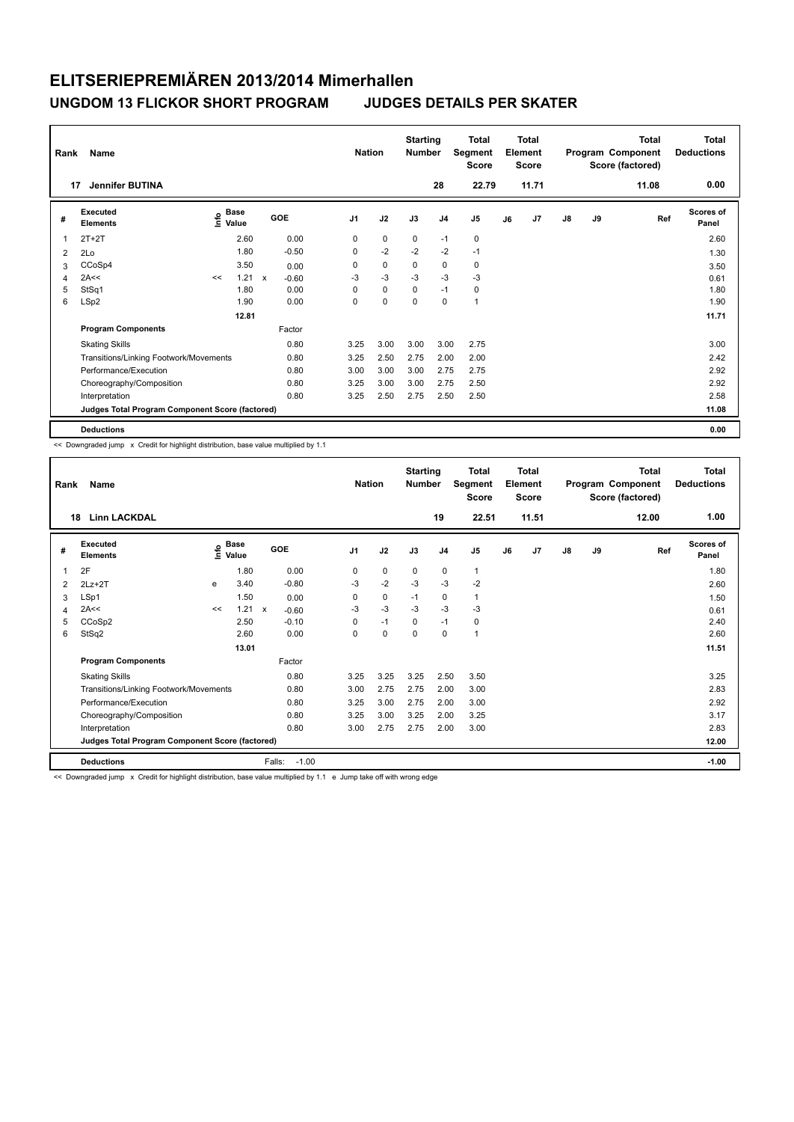| Rank                    | Name                                            |      |                      |              |            |                | <b>Nation</b> |             | <b>Starting</b><br><b>Number</b> |                | <b>Total</b><br>Segment<br>Score |    | <b>Total</b><br>Element<br><b>Score</b> |               |    | <b>Total</b><br>Program Component<br>Score (factored) | <b>Total</b><br><b>Deductions</b> |
|-------------------------|-------------------------------------------------|------|----------------------|--------------|------------|----------------|---------------|-------------|----------------------------------|----------------|----------------------------------|----|-----------------------------------------|---------------|----|-------------------------------------------------------|-----------------------------------|
| 17                      | <b>Jennifer BUTINA</b>                          |      |                      |              |            |                |               |             |                                  | 28             | 22.79                            |    | 11.71                                   |               |    | 11.08                                                 | 0.00                              |
| #                       | Executed<br><b>Elements</b>                     | lnfo | <b>Base</b><br>Value |              | <b>GOE</b> | J <sub>1</sub> |               | J2          | J3                               | J <sub>4</sub> | J <sub>5</sub>                   | J6 | J <sub>7</sub>                          | $\mathsf{J}8$ | J9 | Ref                                                   | <b>Scores of</b><br>Panel         |
| $\overline{\mathbf{1}}$ | $2T+2T$                                         |      | 2.60                 |              | 0.00       |                | 0             | $\mathbf 0$ | $\mathbf 0$                      | $-1$           | $\pmb{0}$                        |    |                                         |               |    |                                                       | 2.60                              |
| 2                       | 2Lo                                             |      | 1.80                 |              | $-0.50$    |                | 0             | $-2$        | $-2$                             | $-2$           | $-1$                             |    |                                         |               |    |                                                       | 1.30                              |
| 3                       | CCoSp4                                          |      | 3.50                 |              | 0.00       |                | 0             | $\mathbf 0$ | $\mathbf 0$                      | $\mathbf 0$    | 0                                |    |                                         |               |    |                                                       | 3.50                              |
| 4                       | 2A<<                                            | <<   | 1.21                 | $\mathsf{x}$ | $-0.60$    |                | $-3$          | $-3$        | $-3$                             | $-3$           | $-3$                             |    |                                         |               |    |                                                       | 0.61                              |
| 5                       | StSq1                                           |      | 1.80                 |              | 0.00       |                | 0             | $\pmb{0}$   | $\mathbf 0$                      | $-1$           | 0                                |    |                                         |               |    |                                                       | 1.80                              |
| 6                       | LSp2                                            |      | 1.90                 |              | 0.00       |                | 0             | $\mathbf 0$ | $\Omega$                         | $\mathbf 0$    | $\mathbf{1}$                     |    |                                         |               |    |                                                       | 1.90                              |
|                         |                                                 |      | 12.81                |              |            |                |               |             |                                  |                |                                  |    |                                         |               |    |                                                       | 11.71                             |
|                         | <b>Program Components</b>                       |      |                      |              | Factor     |                |               |             |                                  |                |                                  |    |                                         |               |    |                                                       |                                   |
|                         | <b>Skating Skills</b>                           |      |                      |              | 0.80       |                | 3.25          | 3.00        | 3.00                             | 3.00           | 2.75                             |    |                                         |               |    |                                                       | 3.00                              |
|                         | Transitions/Linking Footwork/Movements          |      |                      |              | 0.80       |                | 3.25          | 2.50        | 2.75                             | 2.00           | 2.00                             |    |                                         |               |    |                                                       | 2.42                              |
|                         | Performance/Execution                           |      |                      |              | 0.80       |                | 3.00          | 3.00        | 3.00                             | 2.75           | 2.75                             |    |                                         |               |    |                                                       | 2.92                              |
|                         | Choreography/Composition                        |      |                      |              | 0.80       |                | 3.25          | 3.00        | 3.00                             | 2.75           | 2.50                             |    |                                         |               |    |                                                       | 2.92                              |
|                         | Interpretation                                  |      |                      |              | 0.80       |                | 3.25          | 2.50        | 2.75                             | 2.50           | 2.50                             |    |                                         |               |    |                                                       | 2.58                              |
|                         | Judges Total Program Component Score (factored) |      |                      |              |            |                |               |             |                                  |                |                                  |    |                                         |               |    |                                                       | 11.08                             |
|                         | <b>Deductions</b>                               |      |                      |              |            |                |               |             |                                  |                |                                  |    |                                         |               |    |                                                       | 0.00                              |

<< Downgraded jump x Credit for highlight distribution, base value multiplied by 1.1

| Rank           | Name                                            |    |                                      |        |         | <b>Nation</b>  |             | <b>Starting</b><br><b>Number</b> |                | <b>Total</b><br>Segment<br><b>Score</b> |    | Total<br>Element<br><b>Score</b> |    |    | <b>Total</b><br>Program Component<br>Score (factored) | <b>Total</b><br><b>Deductions</b> |
|----------------|-------------------------------------------------|----|--------------------------------------|--------|---------|----------------|-------------|----------------------------------|----------------|-----------------------------------------|----|----------------------------------|----|----|-------------------------------------------------------|-----------------------------------|
| 18             | <b>Linn LACKDAL</b>                             |    |                                      |        |         |                |             |                                  | 19             | 22.51                                   |    | 11.51                            |    |    | 12.00                                                 | 1.00                              |
| #              | Executed<br><b>Elements</b>                     |    | $_{\circ}$ Base<br>$\bar{\Xi}$ Value |        | GOE     | J <sub>1</sub> | J2          | J3                               | J <sub>4</sub> | J5                                      | J6 | J7                               | J8 | J9 | Ref                                                   | Scores of<br>Panel                |
| 1              | 2F                                              |    | 1.80                                 |        | 0.00    | 0              | 0           | 0                                | 0              | 1                                       |    |                                  |    |    |                                                       | 1.80                              |
| 2              | $2Lz+2T$                                        | e  | 3.40                                 |        | $-0.80$ | $-3$           | $-2$        | $-3$                             | $-3$           | $-2$                                    |    |                                  |    |    |                                                       | 2.60                              |
| 3              | LSp1                                            |    | 1.50                                 |        | 0.00    | 0              | $\mathbf 0$ | $-1$                             | 0              | 1                                       |    |                                  |    |    |                                                       | 1.50                              |
| $\overline{4}$ | 2A<<                                            | << | 1.21 x                               |        | $-0.60$ | $-3$           | $-3$        | $-3$                             | $-3$           | $-3$                                    |    |                                  |    |    |                                                       | 0.61                              |
| 5              | CCoSp2                                          |    | 2.50                                 |        | $-0.10$ | 0              | $-1$        | 0                                | $-1$           | 0                                       |    |                                  |    |    |                                                       | 2.40                              |
| 6              | StSq2                                           |    | 2.60                                 |        | 0.00    | 0              | $\mathbf 0$ | 0                                | 0              | $\mathbf{1}$                            |    |                                  |    |    |                                                       | 2.60                              |
|                |                                                 |    | 13.01                                |        |         |                |             |                                  |                |                                         |    |                                  |    |    |                                                       | 11.51                             |
|                | <b>Program Components</b>                       |    |                                      |        | Factor  |                |             |                                  |                |                                         |    |                                  |    |    |                                                       |                                   |
|                | <b>Skating Skills</b>                           |    |                                      |        | 0.80    | 3.25           | 3.25        | 3.25                             | 2.50           | 3.50                                    |    |                                  |    |    |                                                       | 3.25                              |
|                | Transitions/Linking Footwork/Movements          |    |                                      |        | 0.80    | 3.00           | 2.75        | 2.75                             | 2.00           | 3.00                                    |    |                                  |    |    |                                                       | 2.83                              |
|                | Performance/Execution                           |    |                                      |        | 0.80    | 3.25           | 3.00        | 2.75                             | 2.00           | 3.00                                    |    |                                  |    |    |                                                       | 2.92                              |
|                | Choreography/Composition                        |    |                                      |        | 0.80    | 3.25           | 3.00        | 3.25                             | 2.00           | 3.25                                    |    |                                  |    |    |                                                       | 3.17                              |
|                | Interpretation                                  |    |                                      |        | 0.80    | 3.00           | 2.75        | 2.75                             | 2.00           | 3.00                                    |    |                                  |    |    |                                                       | 2.83                              |
|                | Judges Total Program Component Score (factored) |    |                                      |        |         |                |             |                                  |                |                                         |    |                                  |    |    |                                                       | 12.00                             |
|                | <b>Deductions</b>                               |    |                                      | Falls: | $-1.00$ |                |             |                                  |                |                                         |    |                                  |    |    |                                                       | $-1.00$                           |

<< Downgraded jump x Credit for highlight distribution, base value multiplied by 1.1 e Jump take off with wrong edge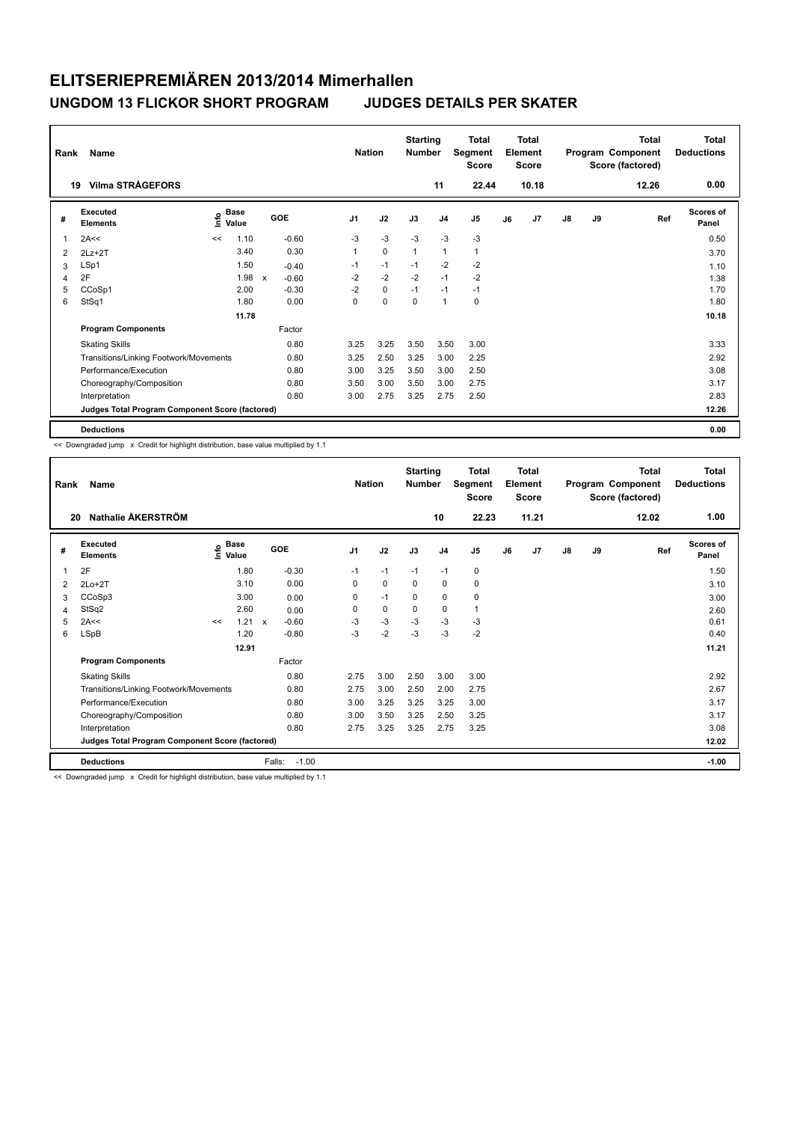| Rank | Name                                            |      |                      |              |            |                | <b>Nation</b> |             | <b>Starting</b><br><b>Number</b> |                | <b>Total</b><br>Segment<br><b>Score</b> |    | <b>Total</b><br>Element<br><b>Score</b> |               |    | <b>Total</b><br>Program Component<br>Score (factored) | <b>Total</b><br><b>Deductions</b> |
|------|-------------------------------------------------|------|----------------------|--------------|------------|----------------|---------------|-------------|----------------------------------|----------------|-----------------------------------------|----|-----------------------------------------|---------------|----|-------------------------------------------------------|-----------------------------------|
| 19   | <b>Vilma STRÅGEFORS</b>                         |      |                      |              |            |                |               |             |                                  | 11             | 22.44                                   |    | 10.18                                   |               |    | 12.26                                                 | 0.00                              |
| #    | Executed<br><b>Elements</b>                     | lnfo | <b>Base</b><br>Value |              | <b>GOE</b> | J <sub>1</sub> |               | J2          | J3                               | J <sub>4</sub> | J <sub>5</sub>                          | J6 | J <sub>7</sub>                          | $\mathsf{J}8$ | J9 | Ref                                                   | Scores of<br>Panel                |
| 1    | 2A<<                                            | <<   | 1.10                 |              | $-0.60$    | $-3$           |               | $-3$        | $-3$                             | $-3$           | $-3$                                    |    |                                         |               |    |                                                       | 0.50                              |
| 2    | $2Lz+2T$                                        |      | 3.40                 |              | 0.30       | 1              |               | $\mathbf 0$ | $\mathbf{1}$                     | $\mathbf{1}$   | $\mathbf{1}$                            |    |                                         |               |    |                                                       | 3.70                              |
| 3    | LSp1                                            |      | 1.50                 |              | $-0.40$    | $-1$           |               | $-1$        | $-1$                             | $-2$           | $-2$                                    |    |                                         |               |    |                                                       | 1.10                              |
| 4    | 2F                                              |      | 1.98                 | $\mathsf{x}$ | $-0.60$    | $-2$           |               | $-2$        | $-2$                             | $-1$           | $-2$                                    |    |                                         |               |    |                                                       | 1.38                              |
| 5    | CCoSp1                                          |      | 2.00                 |              | $-0.30$    | $-2$           |               | 0           | $-1$                             | $-1$           | $-1$                                    |    |                                         |               |    |                                                       | 1.70                              |
| 6    | StSq1                                           |      | 1.80                 |              | 0.00       | $\Omega$       |               | $\mathbf 0$ | $\Omega$                         | $\mathbf{1}$   | 0                                       |    |                                         |               |    |                                                       | 1.80                              |
|      |                                                 |      | 11.78                |              |            |                |               |             |                                  |                |                                         |    |                                         |               |    |                                                       | 10.18                             |
|      | <b>Program Components</b>                       |      |                      |              | Factor     |                |               |             |                                  |                |                                         |    |                                         |               |    |                                                       |                                   |
|      | <b>Skating Skills</b>                           |      |                      |              | 0.80       | 3.25           |               | 3.25        | 3.50                             | 3.50           | 3.00                                    |    |                                         |               |    |                                                       | 3.33                              |
|      | Transitions/Linking Footwork/Movements          |      |                      |              | 0.80       | 3.25           |               | 2.50        | 3.25                             | 3.00           | 2.25                                    |    |                                         |               |    |                                                       | 2.92                              |
|      | Performance/Execution                           |      |                      |              | 0.80       | 3.00           |               | 3.25        | 3.50                             | 3.00           | 2.50                                    |    |                                         |               |    |                                                       | 3.08                              |
|      | Choreography/Composition                        |      |                      |              | 0.80       | 3.50           |               | 3.00        | 3.50                             | 3.00           | 2.75                                    |    |                                         |               |    |                                                       | 3.17                              |
|      | Interpretation                                  |      |                      |              | 0.80       | 3.00           |               | 2.75        | 3.25                             | 2.75           | 2.50                                    |    |                                         |               |    |                                                       | 2.83                              |
|      | Judges Total Program Component Score (factored) |      |                      |              |            |                |               |             |                                  |                |                                         |    |                                         |               |    |                                                       | 12.26                             |
|      | <b>Deductions</b>                               |      |                      |              |            |                |               |             |                                  |                |                                         |    |                                         |               |    |                                                       | 0.00                              |

<< Downgraded jump x Credit for highlight distribution, base value multiplied by 1.1

| Rank | Name                                            |                       |       |              |         | <b>Nation</b>  |      | <b>Starting</b><br><b>Number</b> |                | <b>Total</b><br>Segment<br><b>Score</b> |    | <b>Total</b><br>Element<br><b>Score</b> |    |    | <b>Total</b><br>Program Component<br>Score (factored) | <b>Total</b><br><b>Deductions</b> |
|------|-------------------------------------------------|-----------------------|-------|--------------|---------|----------------|------|----------------------------------|----------------|-----------------------------------------|----|-----------------------------------------|----|----|-------------------------------------------------------|-----------------------------------|
| 20   | Nathalie ÅKERSTRÖM                              |                       |       |              |         |                |      |                                  | 10             | 22.23                                   |    | 11.21                                   |    |    | 12.02                                                 | 1.00                              |
| #    | Executed<br><b>Elements</b>                     | $\sum_{i=1}^{n}$ Base |       | <b>GOE</b>   |         | J <sub>1</sub> | J2   | J3                               | J <sub>4</sub> | J <sub>5</sub>                          | J6 | J7                                      | J8 | J9 | Ref                                                   | <b>Scores of</b><br>Panel         |
| 1    | 2F                                              |                       | 1.80  |              | $-0.30$ | $-1$           | $-1$ | $-1$                             | $-1$           | 0                                       |    |                                         |    |    |                                                       | 1.50                              |
| 2    | $2Lo+2T$                                        |                       | 3.10  |              | 0.00    | 0              | 0    | $\mathbf 0$                      | 0              | 0                                       |    |                                         |    |    |                                                       | 3.10                              |
| 3    | CCoSp3                                          |                       | 3.00  |              | 0.00    | 0              | $-1$ | $\mathbf 0$                      | $\mathbf 0$    | 0                                       |    |                                         |    |    |                                                       | 3.00                              |
| 4    | StSq2                                           |                       | 2.60  |              | 0.00    | 0              | 0    | $\mathbf 0$                      | 0              | 1                                       |    |                                         |    |    |                                                       | 2.60                              |
| 5    | 2A<<                                            | <<                    | 1.21  | $\mathsf{x}$ | $-0.60$ | $-3$           | $-3$ | $-3$                             | $-3$           | $-3$                                    |    |                                         |    |    |                                                       | 0.61                              |
| 6    | <b>LSpB</b>                                     |                       | 1.20  |              | $-0.80$ | $-3$           | $-2$ | $-3$                             | $-3$           | $-2$                                    |    |                                         |    |    |                                                       | 0.40                              |
|      |                                                 |                       | 12.91 |              |         |                |      |                                  |                |                                         |    |                                         |    |    |                                                       | 11.21                             |
|      | <b>Program Components</b>                       |                       |       |              | Factor  |                |      |                                  |                |                                         |    |                                         |    |    |                                                       |                                   |
|      | <b>Skating Skills</b>                           |                       |       |              | 0.80    | 2.75           | 3.00 | 2.50                             | 3.00           | 3.00                                    |    |                                         |    |    |                                                       | 2.92                              |
|      | Transitions/Linking Footwork/Movements          |                       |       |              | 0.80    | 2.75           | 3.00 | 2.50                             | 2.00           | 2.75                                    |    |                                         |    |    |                                                       | 2.67                              |
|      | Performance/Execution                           |                       |       |              | 0.80    | 3.00           | 3.25 | 3.25                             | 3.25           | 3.00                                    |    |                                         |    |    |                                                       | 3.17                              |
|      | Choreography/Composition                        |                       |       |              | 0.80    | 3.00           | 3.50 | 3.25                             | 2.50           | 3.25                                    |    |                                         |    |    |                                                       | 3.17                              |
|      | Interpretation                                  |                       |       |              | 0.80    | 2.75           | 3.25 | 3.25                             | 2.75           | 3.25                                    |    |                                         |    |    |                                                       | 3.08                              |
|      | Judges Total Program Component Score (factored) |                       |       |              |         |                |      |                                  |                |                                         |    |                                         |    |    |                                                       | 12.02                             |
|      | <b>Deductions</b>                               |                       |       | Falls:       | $-1.00$ |                |      |                                  |                |                                         |    |                                         |    |    |                                                       | $-1.00$                           |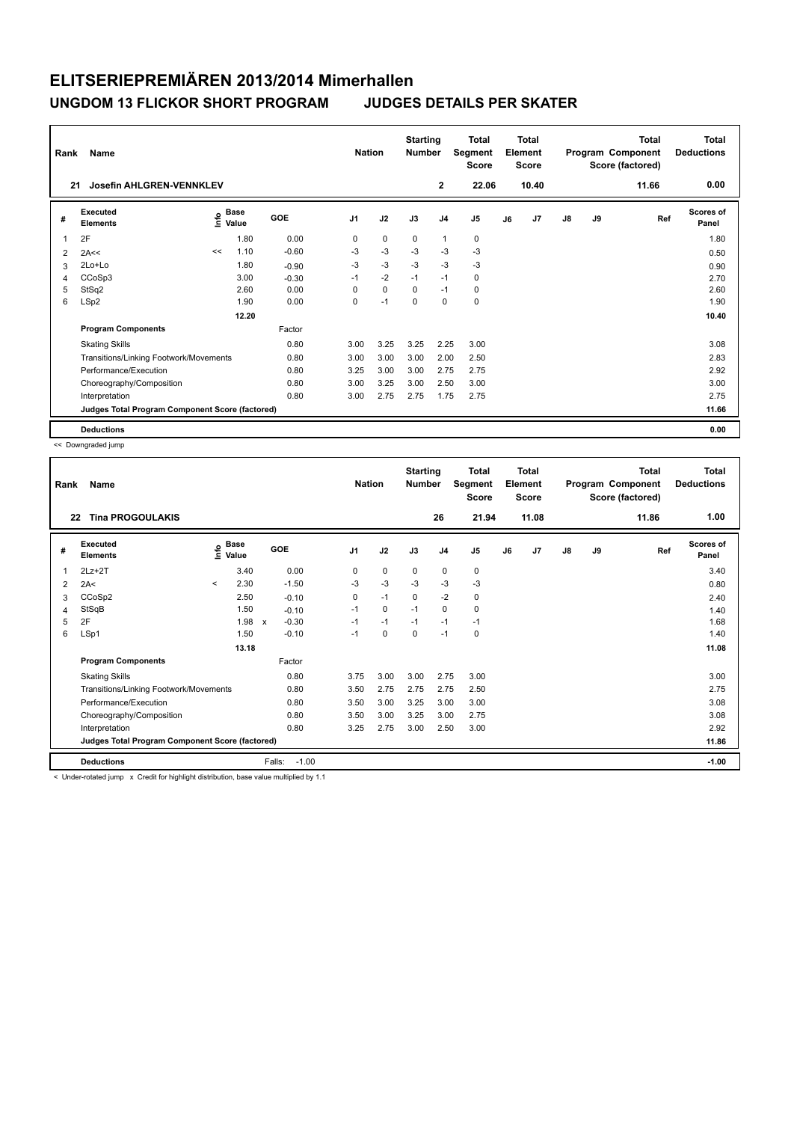| Rank           | Name                                            |      |                      |         | <b>Nation</b>  |             | <b>Starting</b><br><b>Number</b> |                | <b>Total</b><br>Segment<br><b>Score</b> |    | <b>Total</b><br>Element<br><b>Score</b> |               |    | <b>Total</b><br>Program Component<br>Score (factored) | <b>Total</b><br><b>Deductions</b> |
|----------------|-------------------------------------------------|------|----------------------|---------|----------------|-------------|----------------------------------|----------------|-----------------------------------------|----|-----------------------------------------|---------------|----|-------------------------------------------------------|-----------------------------------|
| 21             | <b>Josefin AHLGREN-VENNKLEV</b>                 |      |                      |         |                |             |                                  | $\mathbf{2}$   | 22.06                                   |    | 10.40                                   |               |    | 11.66                                                 | 0.00                              |
| #              | Executed<br><b>Elements</b>                     | ١nfo | <b>Base</b><br>Value | GOE     | J <sub>1</sub> | J2          | J3                               | J <sub>4</sub> | J <sub>5</sub>                          | J6 | J <sub>7</sub>                          | $\mathsf{J}8$ | J9 | Ref                                                   | <b>Scores of</b><br>Panel         |
|                | 2F                                              |      | 1.80                 | 0.00    | 0              | $\mathbf 0$ | 0                                | $\mathbf{1}$   | 0                                       |    |                                         |               |    |                                                       | 1.80                              |
| $\overline{2}$ | 2A<<                                            | <<   | 1.10                 | $-0.60$ | -3             | $-3$        | $-3$                             | $-3$           | $-3$                                    |    |                                         |               |    |                                                       | 0.50                              |
| 3              | 2Lo+Lo                                          |      | 1.80                 | $-0.90$ | $-3$           | $-3$        | $-3$                             | $-3$           | $-3$                                    |    |                                         |               |    |                                                       | 0.90                              |
| 4              | CCoSp3                                          |      | 3.00                 | $-0.30$ | $-1$           | $-2$        | $-1$                             | $-1$           | 0                                       |    |                                         |               |    |                                                       | 2.70                              |
| 5              | StSq2                                           |      | 2.60                 | 0.00    | 0              | $\mathbf 0$ | $\mathbf 0$                      | $-1$           | 0                                       |    |                                         |               |    |                                                       | 2.60                              |
| 6              | LSp2                                            |      | 1.90                 | 0.00    | 0              | $-1$        | 0                                | $\mathbf 0$    | $\mathbf 0$                             |    |                                         |               |    |                                                       | 1.90                              |
|                |                                                 |      | 12.20                |         |                |             |                                  |                |                                         |    |                                         |               |    |                                                       | 10.40                             |
|                | <b>Program Components</b>                       |      |                      | Factor  |                |             |                                  |                |                                         |    |                                         |               |    |                                                       |                                   |
|                | <b>Skating Skills</b>                           |      |                      | 0.80    | 3.00           | 3.25        | 3.25                             | 2.25           | 3.00                                    |    |                                         |               |    |                                                       | 3.08                              |
|                | Transitions/Linking Footwork/Movements          |      |                      | 0.80    | 3.00           | 3.00        | 3.00                             | 2.00           | 2.50                                    |    |                                         |               |    |                                                       | 2.83                              |
|                | Performance/Execution                           |      |                      | 0.80    | 3.25           | 3.00        | 3.00                             | 2.75           | 2.75                                    |    |                                         |               |    |                                                       | 2.92                              |
|                | Choreography/Composition                        |      |                      | 0.80    | 3.00           | 3.25        | 3.00                             | 2.50           | 3.00                                    |    |                                         |               |    |                                                       | 3.00                              |
|                | Interpretation                                  |      |                      | 0.80    | 3.00           | 2.75        | 2.75                             | 1.75           | 2.75                                    |    |                                         |               |    |                                                       | 2.75                              |
|                | Judges Total Program Component Score (factored) |      |                      |         |                |             |                                  |                |                                         |    |                                         |               |    |                                                       | 11.66                             |
|                | <b>Deductions</b>                               |      |                      |         |                |             |                                  |                |                                         |    |                                         |               |    |                                                       | 0.00                              |

<< Downgraded jump

| Rank | Name                                            |                          |                                  |              |         | <b>Nation</b>  |      | <b>Starting</b><br><b>Number</b> |                | Total<br>Segment<br><b>Score</b> |    | <b>Total</b><br>Element<br><b>Score</b> |               |    | Total<br>Program Component<br>Score (factored) | <b>Total</b><br><b>Deductions</b> |
|------|-------------------------------------------------|--------------------------|----------------------------------|--------------|---------|----------------|------|----------------------------------|----------------|----------------------------------|----|-----------------------------------------|---------------|----|------------------------------------------------|-----------------------------------|
| 22   | <b>Tina PROGOULAKIS</b>                         |                          |                                  |              |         |                |      |                                  | 26             | 21.94                            |    | 11.08                                   |               |    | 11.86                                          | 1.00                              |
| #    | Executed<br><b>Elements</b>                     |                          | <b>Base</b><br>e Base<br>E Value |              | GOE     | J <sub>1</sub> | J2   | J3                               | J <sub>4</sub> | J <sub>5</sub>                   | J6 | J7                                      | $\mathsf{J}8$ | J9 | Ref                                            | <b>Scores of</b><br>Panel         |
| 1    | $2Lz+2T$                                        |                          | 3.40                             |              | 0.00    | 0              | 0    | 0                                | 0              | 0                                |    |                                         |               |    |                                                | 3.40                              |
| 2    | 2A<                                             | $\overline{\phantom{a}}$ | 2.30                             |              | $-1.50$ | $-3$           | $-3$ | $-3$                             | $-3$           | $-3$                             |    |                                         |               |    |                                                | 0.80                              |
| 3    | CCoSp2                                          |                          | 2.50                             |              | $-0.10$ | 0              | $-1$ | 0                                | $-2$           | 0                                |    |                                         |               |    |                                                | 2.40                              |
| 4    | StSqB                                           |                          | 1.50                             |              | $-0.10$ | $-1$           | 0    | $-1$                             | 0              | 0                                |    |                                         |               |    |                                                | 1.40                              |
| 5    | 2F                                              |                          | 1.98                             | $\mathsf{x}$ | $-0.30$ | $-1$           | $-1$ | $-1$                             | $-1$           | $-1$                             |    |                                         |               |    |                                                | 1.68                              |
| 6    | LSp1                                            |                          | 1.50                             |              | $-0.10$ | $-1$           | 0    | 0                                | $-1$           | 0                                |    |                                         |               |    |                                                | 1.40                              |
|      |                                                 |                          | 13.18                            |              |         |                |      |                                  |                |                                  |    |                                         |               |    |                                                | 11.08                             |
|      | <b>Program Components</b>                       |                          |                                  |              | Factor  |                |      |                                  |                |                                  |    |                                         |               |    |                                                |                                   |
|      | <b>Skating Skills</b>                           |                          |                                  |              | 0.80    | 3.75           | 3.00 | 3.00                             | 2.75           | 3.00                             |    |                                         |               |    |                                                | 3.00                              |
|      | Transitions/Linking Footwork/Movements          |                          |                                  |              | 0.80    | 3.50           | 2.75 | 2.75                             | 2.75           | 2.50                             |    |                                         |               |    |                                                | 2.75                              |
|      | Performance/Execution                           |                          |                                  |              | 0.80    | 3.50           | 3.00 | 3.25                             | 3.00           | 3.00                             |    |                                         |               |    |                                                | 3.08                              |
|      | Choreography/Composition                        |                          |                                  |              | 0.80    | 3.50           | 3.00 | 3.25                             | 3.00           | 2.75                             |    |                                         |               |    |                                                | 3.08                              |
|      | Interpretation                                  |                          |                                  |              | 0.80    | 3.25           | 2.75 | 3.00                             | 2.50           | 3.00                             |    |                                         |               |    |                                                | 2.92                              |
|      | Judges Total Program Component Score (factored) |                          |                                  |              |         |                |      |                                  |                |                                  |    |                                         |               |    |                                                | 11.86                             |
|      | <b>Deductions</b>                               |                          |                                  | Falls:       | $-1.00$ |                |      |                                  |                |                                  |    |                                         |               |    |                                                | $-1.00$                           |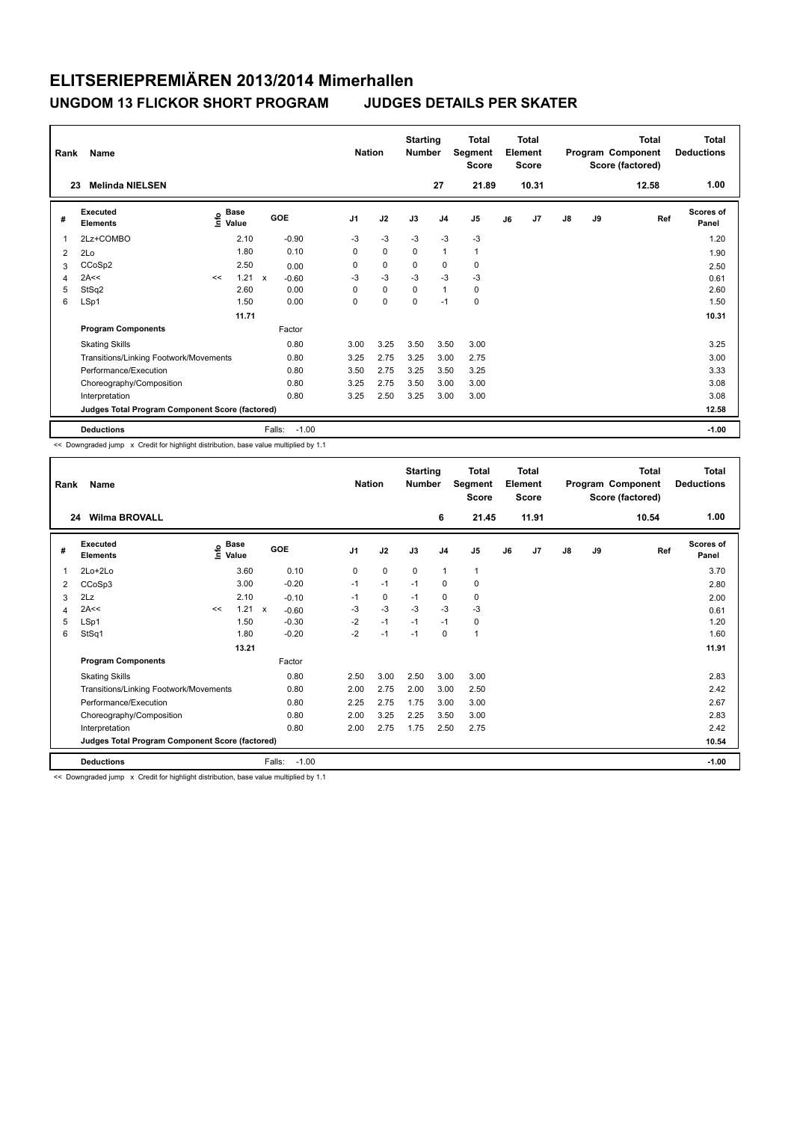| Rank<br>23  | <b>Name</b><br><b>Melinda NIELSEN</b>           |    |                                    |              |         | <b>Nation</b>  |             | <b>Starting</b><br><b>Number</b> | 27             | <b>Total</b><br>Segment<br><b>Score</b><br>21.89 |    | <b>Total</b><br>Element<br><b>Score</b><br>10.31 |               |    | <b>Total</b><br>Program Component<br>Score (factored)<br>12.58 | Total<br><b>Deductions</b><br>1.00 |
|-------------|-------------------------------------------------|----|------------------------------------|--------------|---------|----------------|-------------|----------------------------------|----------------|--------------------------------------------------|----|--------------------------------------------------|---------------|----|----------------------------------------------------------------|------------------------------------|
| #           | Executed<br><b>Elements</b>                     |    | <b>Base</b><br>$\frac{6}{5}$ Value | GOE          |         | J <sub>1</sub> | J2          | J3                               | J <sub>4</sub> | J <sub>5</sub>                                   | J6 | J7                                               | $\mathsf{J}8$ | J9 | Ref                                                            | <b>Scores of</b><br>Panel          |
| $\mathbf 1$ | 2Lz+COMBO                                       |    | 2.10                               |              | $-0.90$ | $-3$           | $-3$        | $-3$                             | $-3$           | $-3$                                             |    |                                                  |               |    |                                                                | 1.20                               |
| 2           | 2Lo                                             |    | 1.80                               |              | 0.10    | 0              | $\mathbf 0$ | 0                                | $\mathbf{1}$   | $\mathbf{1}$                                     |    |                                                  |               |    |                                                                | 1.90                               |
| 3           | CCoSp2                                          |    | 2.50                               |              | 0.00    | $\Omega$       | $\mathbf 0$ | $\mathbf 0$                      | $\mathbf 0$    | 0                                                |    |                                                  |               |    |                                                                | 2.50                               |
| 4           | 2A<<                                            | << | 1.21                               | $\mathsf{x}$ | $-0.60$ | -3             | $-3$        | $-3$                             | $-3$           | $-3$                                             |    |                                                  |               |    |                                                                | 0.61                               |
| 5           | StSq2                                           |    | 2.60                               |              | 0.00    | 0              | $\mathbf 0$ | $\mathbf 0$                      | $\mathbf{1}$   | $\mathbf 0$                                      |    |                                                  |               |    |                                                                | 2.60                               |
| 6           | LSp1                                            |    | 1.50                               |              | 0.00    | 0              | $\pmb{0}$   | 0                                | $-1$           | $\pmb{0}$                                        |    |                                                  |               |    |                                                                | 1.50                               |
|             |                                                 |    | 11.71                              |              |         |                |             |                                  |                |                                                  |    |                                                  |               |    |                                                                | 10.31                              |
|             | <b>Program Components</b>                       |    |                                    |              | Factor  |                |             |                                  |                |                                                  |    |                                                  |               |    |                                                                |                                    |
|             | <b>Skating Skills</b>                           |    |                                    |              | 0.80    | 3.00           | 3.25        | 3.50                             | 3.50           | 3.00                                             |    |                                                  |               |    |                                                                | 3.25                               |
|             | Transitions/Linking Footwork/Movements          |    |                                    |              | 0.80    | 3.25           | 2.75        | 3.25                             | 3.00           | 2.75                                             |    |                                                  |               |    |                                                                | 3.00                               |
|             | Performance/Execution                           |    |                                    |              | 0.80    | 3.50           | 2.75        | 3.25                             | 3.50           | 3.25                                             |    |                                                  |               |    |                                                                | 3.33                               |
|             | Choreography/Composition                        |    |                                    |              | 0.80    | 3.25           | 2.75        | 3.50                             | 3.00           | 3.00                                             |    |                                                  |               |    |                                                                | 3.08                               |
|             | Interpretation                                  |    |                                    |              | 0.80    | 3.25           | 2.50        | 3.25                             | 3.00           | 3.00                                             |    |                                                  |               |    |                                                                | 3.08                               |
|             | Judges Total Program Component Score (factored) |    |                                    |              |         |                |             |                                  |                |                                                  |    |                                                  |               |    |                                                                | 12.58                              |
|             | <b>Deductions</b>                               |    |                                    | Falls:       | $-1.00$ |                |             |                                  |                |                                                  |    |                                                  |               |    |                                                                | $-1.00$                            |

<< Downgraded jump x Credit for highlight distribution, base value multiplied by 1.1

| Rank | Name                                            |    |                                                                               |               |                   | <b>Nation</b>  |      | <b>Starting</b><br><b>Number</b> |                | <b>Total</b><br>Segment<br>Score |    | <b>Total</b><br>Element<br>Score |               |    | <b>Total</b><br>Program Component<br>Score (factored) | Total<br><b>Deductions</b> |
|------|-------------------------------------------------|----|-------------------------------------------------------------------------------|---------------|-------------------|----------------|------|----------------------------------|----------------|----------------------------------|----|----------------------------------|---------------|----|-------------------------------------------------------|----------------------------|
| 24   | <b>Wilma BROVALL</b>                            |    |                                                                               |               |                   |                |      |                                  | 6              | 21.45                            |    | 11.91                            |               |    | 10.54                                                 | 1.00                       |
| #    | Executed<br><b>Elements</b>                     |    | $\overset{\circ}{\text{\sf E}}$ Base<br>$\overset{\circ}{\text{\sf E}}$ Value |               | <b>GOE</b>        | J <sub>1</sub> | J2   | J3                               | J <sub>4</sub> | J <sub>5</sub>                   | J6 | J7                               | $\mathsf{J}8$ | J9 | Ref                                                   | <b>Scores of</b><br>Panel  |
| 1    | 2Lo+2Lo                                         |    | 3.60                                                                          |               | 0.10              | 0              | 0    | 0                                | $\mathbf{1}$   | 1                                |    |                                  |               |    |                                                       | 3.70                       |
| 2    | CCoSp3                                          |    | 3.00                                                                          |               | $-0.20$           | $-1$           | $-1$ | $-1$                             | 0              | 0                                |    |                                  |               |    |                                                       | 2.80                       |
| 3    | 2Lz                                             |    | 2.10                                                                          |               | $-0.10$           | $-1$           | 0    | $-1$                             | 0              | 0                                |    |                                  |               |    |                                                       | 2.00                       |
| 4    | 2A<<                                            | << |                                                                               | $1.21 \times$ | $-0.60$           | -3             | $-3$ | $-3$                             | $-3$           | $-3$                             |    |                                  |               |    |                                                       | 0.61                       |
| 5    | LSp1                                            |    | 1.50                                                                          |               | $-0.30$           | $-2$           | $-1$ | $-1$                             | $-1$           | 0                                |    |                                  |               |    |                                                       | 1.20                       |
| 6    | StSq1                                           |    | 1.80                                                                          |               | $-0.20$           | $-2$           | $-1$ | $-1$                             | 0              | 1                                |    |                                  |               |    |                                                       | 1.60                       |
|      |                                                 |    | 13.21                                                                         |               |                   |                |      |                                  |                |                                  |    |                                  |               |    |                                                       | 11.91                      |
|      | <b>Program Components</b>                       |    |                                                                               |               | Factor            |                |      |                                  |                |                                  |    |                                  |               |    |                                                       |                            |
|      | <b>Skating Skills</b>                           |    |                                                                               |               | 0.80              | 2.50           | 3.00 | 2.50                             | 3.00           | 3.00                             |    |                                  |               |    |                                                       | 2.83                       |
|      | Transitions/Linking Footwork/Movements          |    |                                                                               |               | 0.80              | 2.00           | 2.75 | 2.00                             | 3.00           | 2.50                             |    |                                  |               |    |                                                       | 2.42                       |
|      | Performance/Execution                           |    |                                                                               |               | 0.80              | 2.25           | 2.75 | 1.75                             | 3.00           | 3.00                             |    |                                  |               |    |                                                       | 2.67                       |
|      | Choreography/Composition                        |    |                                                                               |               | 0.80              | 2.00           | 3.25 | 2.25                             | 3.50           | 3.00                             |    |                                  |               |    |                                                       | 2.83                       |
|      | Interpretation                                  |    |                                                                               |               | 0.80              | 2.00           | 2.75 | 1.75                             | 2.50           | 2.75                             |    |                                  |               |    |                                                       | 2.42                       |
|      | Judges Total Program Component Score (factored) |    |                                                                               |               |                   |                |      |                                  |                |                                  |    |                                  |               |    |                                                       | 10.54                      |
|      | <b>Deductions</b>                               |    |                                                                               |               | Falls:<br>$-1.00$ |                |      |                                  |                |                                  |    |                                  |               |    |                                                       | $-1.00$                    |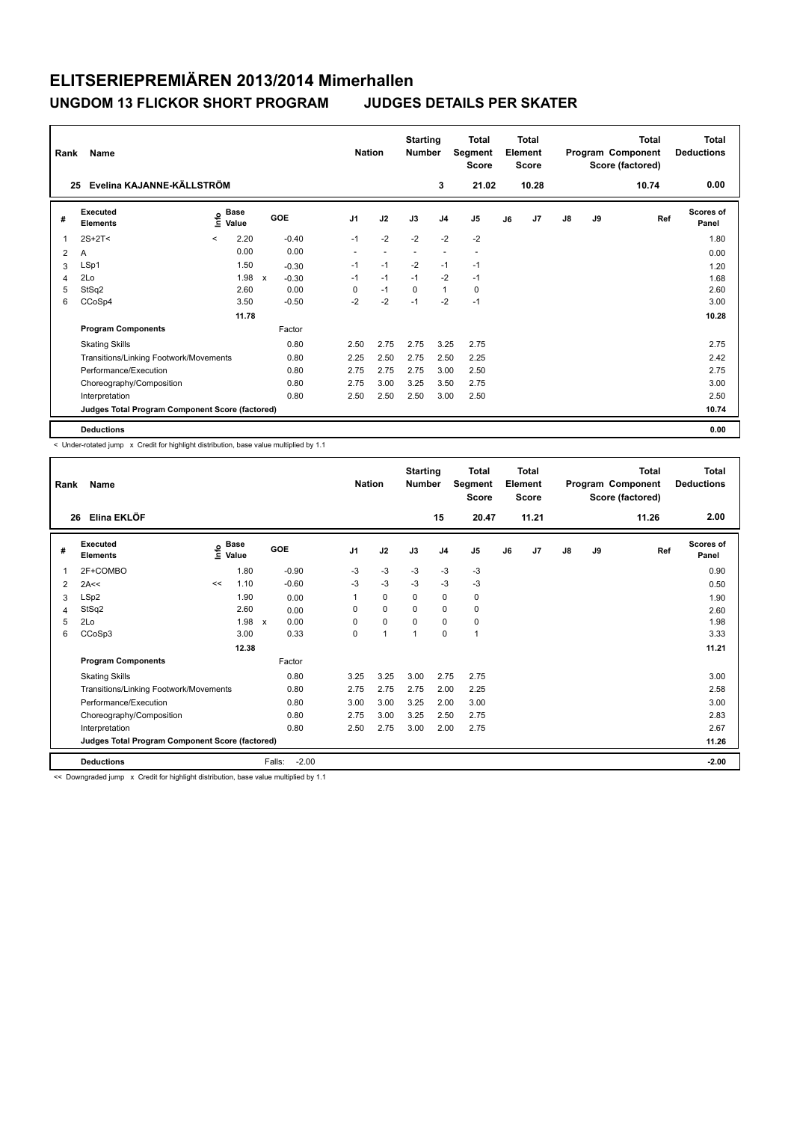|                                 | Rank<br>Name                                    |         |                      |              |         |                | <b>Nation</b>            |                          | <b>Starting</b><br><b>Number</b> | <b>Total</b><br>Segment<br><b>Score</b> | <b>Total</b><br>Element<br><b>Score</b> |       |    |    | Total<br>Program Component<br>Score (factored) | Total<br><b>Deductions</b> |
|---------------------------------|-------------------------------------------------|---------|----------------------|--------------|---------|----------------|--------------------------|--------------------------|----------------------------------|-----------------------------------------|-----------------------------------------|-------|----|----|------------------------------------------------|----------------------------|
| Evelina KAJANNE-KÄLLSTRÖM<br>25 |                                                 |         |                      |              |         |                |                          |                          | 3                                | 21.02                                   |                                         | 10.28 |    |    | 10.74                                          | 0.00                       |
| #                               | Executed<br><b>Elements</b>                     | ۴o      | <b>Base</b><br>Value |              | GOE     | J <sub>1</sub> | J2                       | J3                       | J4                               | J5                                      | J6                                      | J7    | J8 | J9 | Ref                                            | <b>Scores of</b><br>Panel  |
| 1                               | $2S+2T<$                                        | $\prec$ | 2.20                 |              | $-0.40$ | $-1$           | $-2$                     | $-2$                     | $-2$                             | $-2$                                    |                                         |       |    |    |                                                | 1.80                       |
| 2                               | A                                               |         | 0.00                 |              | 0.00    | ٠              | $\overline{\phantom{a}}$ | $\overline{\phantom{a}}$ | ٠                                | $\overline{\phantom{a}}$                |                                         |       |    |    |                                                | 0.00                       |
| 3                               | LSp1                                            |         | 1.50                 |              | $-0.30$ | $-1$           | $-1$                     | $-2$                     | $-1$                             | $-1$                                    |                                         |       |    |    |                                                | 1.20                       |
| $\overline{4}$                  | 2Lo                                             |         | 1.98                 | $\mathsf{x}$ | $-0.30$ | $-1$           | $-1$                     | $-1$                     | $-2$                             | $-1$                                    |                                         |       |    |    |                                                | 1.68                       |
| 5                               | StSq2                                           |         | 2.60                 |              | 0.00    | 0              | $-1$                     | $\mathbf 0$              | $\mathbf{1}$                     | 0                                       |                                         |       |    |    |                                                | 2.60                       |
| 6                               | CCoSp4                                          |         | 3.50                 |              | $-0.50$ | $-2$           | $-2$                     | $-1$                     | $-2$                             | $-1$                                    |                                         |       |    |    |                                                | 3.00                       |
|                                 |                                                 |         | 11.78                |              |         |                |                          |                          |                                  |                                         |                                         |       |    |    |                                                | 10.28                      |
|                                 | <b>Program Components</b>                       |         |                      |              | Factor  |                |                          |                          |                                  |                                         |                                         |       |    |    |                                                |                            |
|                                 | <b>Skating Skills</b>                           |         |                      |              | 0.80    | 2.50           | 2.75                     | 2.75                     | 3.25                             | 2.75                                    |                                         |       |    |    |                                                | 2.75                       |
|                                 | Transitions/Linking Footwork/Movements          |         |                      |              | 0.80    | 2.25           | 2.50                     | 2.75                     | 2.50                             | 2.25                                    |                                         |       |    |    |                                                | 2.42                       |
|                                 | Performance/Execution                           |         |                      |              | 0.80    | 2.75           | 2.75                     | 2.75                     | 3.00                             | 2.50                                    |                                         |       |    |    |                                                | 2.75                       |
|                                 | Choreography/Composition                        |         |                      |              | 0.80    | 2.75           | 3.00                     | 3.25                     | 3.50                             | 2.75                                    |                                         |       |    |    |                                                | 3.00                       |
|                                 | Interpretation                                  |         |                      |              | 0.80    | 2.50           | 2.50                     | 2.50                     | 3.00                             | 2.50                                    |                                         |       |    |    |                                                | 2.50                       |
|                                 | Judges Total Program Component Score (factored) |         |                      |              |         |                |                          |                          |                                  |                                         |                                         |       |    |    |                                                | 10.74                      |
|                                 | <b>Deductions</b>                               |         |                      |              |         |                |                          |                          |                                  |                                         |                                         |       |    |    |                                                | 0.00                       |

< Under-rotated jump x Credit for highlight distribution, base value multiplied by 1.1

| Rank | Name                                            |           |                                  |                      | <b>Nation</b>  |             | <b>Starting</b><br><b>Number</b> |                | <b>Total</b><br>Segment<br><b>Score</b> |    | Total<br>Element<br><b>Score</b> |    |    | <b>Total</b><br>Program Component<br>Score (factored) | <b>Total</b><br><b>Deductions</b> |
|------|-------------------------------------------------|-----------|----------------------------------|----------------------|----------------|-------------|----------------------------------|----------------|-----------------------------------------|----|----------------------------------|----|----|-------------------------------------------------------|-----------------------------------|
| 26   | Elina EKLÖF                                     |           |                                  |                      |                |             |                                  | 15             | 20.47                                   |    | 11.21                            |    |    | 11.26                                                 | 2.00                              |
| #    | Executed<br><b>Elements</b>                     | $\bullet$ | <b>Base</b><br>$\bar{\Xi}$ Value | GOE                  | J <sub>1</sub> | J2          | J3                               | J <sub>4</sub> | J <sub>5</sub>                          | J6 | J7                               | J8 | J9 | Ref                                                   | <b>Scores of</b><br>Panel         |
| 1    | 2F+COMBO                                        |           | 1.80                             | $-0.90$              | $-3$           | $-3$        | $-3$                             | $-3$           | $-3$                                    |    |                                  |    |    |                                                       | 0.90                              |
| 2    | 2A<<                                            | <<        | 1.10                             | $-0.60$              | $-3$           | $-3$        | $-3$                             | $-3$           | $-3$                                    |    |                                  |    |    |                                                       | 0.50                              |
| 3    | LSp2                                            |           | 1.90                             | 0.00                 |                | $\mathbf 0$ | 0                                | 0              | 0                                       |    |                                  |    |    |                                                       | 1.90                              |
| 4    | StSq2                                           |           | 2.60                             | 0.00                 | 0              | $\mathbf 0$ | 0                                | 0              | 0                                       |    |                                  |    |    |                                                       | 2.60                              |
| 5    | 2Lo                                             |           | 1.98                             | 0.00<br>$\mathsf{x}$ | $\Omega$       | $\mathbf 0$ | $\Omega$                         | 0              | 0                                       |    |                                  |    |    |                                                       | 1.98                              |
| 6    | CCoSp3                                          |           | 3.00                             | 0.33                 | 0              | 1           | 1                                | 0              | $\mathbf{1}$                            |    |                                  |    |    |                                                       | 3.33                              |
|      |                                                 |           | 12.38                            |                      |                |             |                                  |                |                                         |    |                                  |    |    |                                                       | 11.21                             |
|      | <b>Program Components</b>                       |           |                                  | Factor               |                |             |                                  |                |                                         |    |                                  |    |    |                                                       |                                   |
|      | <b>Skating Skills</b>                           |           |                                  | 0.80                 | 3.25           | 3.25        | 3.00                             | 2.75           | 2.75                                    |    |                                  |    |    |                                                       | 3.00                              |
|      | Transitions/Linking Footwork/Movements          |           |                                  | 0.80                 | 2.75           | 2.75        | 2.75                             | 2.00           | 2.25                                    |    |                                  |    |    |                                                       | 2.58                              |
|      | Performance/Execution                           |           |                                  | 0.80                 | 3.00           | 3.00        | 3.25                             | 2.00           | 3.00                                    |    |                                  |    |    |                                                       | 3.00                              |
|      | Choreography/Composition                        |           |                                  | 0.80                 | 2.75           | 3.00        | 3.25                             | 2.50           | 2.75                                    |    |                                  |    |    |                                                       | 2.83                              |
|      | Interpretation                                  |           |                                  | 0.80                 | 2.50           | 2.75        | 3.00                             | 2.00           | 2.75                                    |    |                                  |    |    |                                                       | 2.67                              |
|      | Judges Total Program Component Score (factored) |           |                                  |                      |                |             |                                  |                |                                         |    |                                  |    |    |                                                       | 11.26                             |
|      | <b>Deductions</b>                               |           |                                  | $-2.00$<br>Falls:    |                |             |                                  |                |                                         |    |                                  |    |    |                                                       | $-2.00$                           |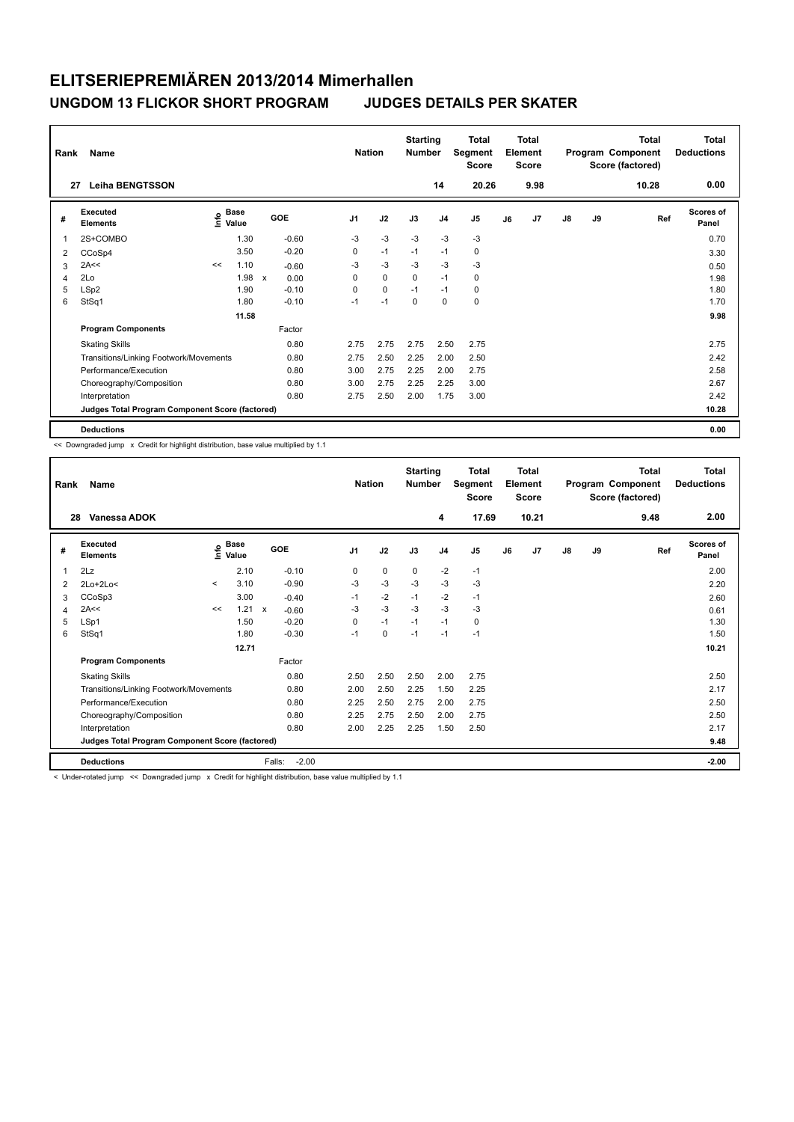|                | Name<br>Rank                                    |      |                      |              |            |                |             | <b>Starting</b><br><b>Number</b> |                | <b>Total</b><br>Segment<br><b>Score</b> | <b>Total</b><br>Element<br><b>Score</b> |      |               |    | <b>Total</b><br>Program Component<br>Score (factored) | <b>Total</b><br><b>Deductions</b> |
|----------------|-------------------------------------------------|------|----------------------|--------------|------------|----------------|-------------|----------------------------------|----------------|-----------------------------------------|-----------------------------------------|------|---------------|----|-------------------------------------------------------|-----------------------------------|
| 27             | <b>Leiha BENGTSSON</b>                          |      |                      |              |            |                |             |                                  | 14             | 20.26                                   |                                         | 9.98 |               |    | 10.28                                                 | 0.00                              |
| #              | Executed<br><b>Elements</b>                     | lnfo | <b>Base</b><br>Value |              | <b>GOE</b> | J <sub>1</sub> | J2          | J3                               | J <sub>4</sub> | J <sub>5</sub>                          | J6                                      | J7   | $\mathsf{J}8$ | J9 | Ref                                                   | <b>Scores of</b><br>Panel         |
|                | 2S+COMBO                                        |      | 1.30                 |              | $-0.60$    | -3             | $-3$        | $-3$                             | $-3$           | $-3$                                    |                                         |      |               |    |                                                       | 0.70                              |
| $\overline{2}$ | CCoSp4                                          |      | 3.50                 |              | $-0.20$    | 0              | $-1$        | $-1$                             | $-1$           | $\mathbf 0$                             |                                         |      |               |    |                                                       | 3.30                              |
| 3              | 2A<<                                            | <<   | 1.10                 |              | $-0.60$    | $-3$           | $-3$        | $-3$                             | $-3$           | $-3$                                    |                                         |      |               |    |                                                       | 0.50                              |
| $\overline{4}$ | 2Lo                                             |      | 1.98                 | $\mathbf{x}$ | 0.00       | 0              | $\Omega$    | $\Omega$                         | $-1$           | 0                                       |                                         |      |               |    |                                                       | 1.98                              |
| 5              | LSp2                                            |      | 1.90                 |              | $-0.10$    | 0              | $\mathbf 0$ | $-1$                             | $-1$           | 0                                       |                                         |      |               |    |                                                       | 1.80                              |
| 6              | StSq1                                           |      | 1.80                 |              | $-0.10$    | $-1$           | $-1$        | $\mathbf 0$                      | $\mathbf 0$    | $\mathbf 0$                             |                                         |      |               |    |                                                       | 1.70                              |
|                |                                                 |      | 11.58                |              |            |                |             |                                  |                |                                         |                                         |      |               |    |                                                       | 9.98                              |
|                | <b>Program Components</b>                       |      |                      |              | Factor     |                |             |                                  |                |                                         |                                         |      |               |    |                                                       |                                   |
|                | <b>Skating Skills</b>                           |      |                      |              | 0.80       | 2.75           | 2.75        | 2.75                             | 2.50           | 2.75                                    |                                         |      |               |    |                                                       | 2.75                              |
|                | Transitions/Linking Footwork/Movements          |      |                      |              | 0.80       | 2.75           | 2.50        | 2.25                             | 2.00           | 2.50                                    |                                         |      |               |    |                                                       | 2.42                              |
|                | Performance/Execution                           |      |                      |              | 0.80       | 3.00           | 2.75        | 2.25                             | 2.00           | 2.75                                    |                                         |      |               |    |                                                       | 2.58                              |
|                | Choreography/Composition                        |      |                      |              | 0.80       | 3.00           | 2.75        | 2.25                             | 2.25           | 3.00                                    |                                         |      |               |    |                                                       | 2.67                              |
|                | Interpretation                                  |      |                      |              | 0.80       | 2.75           | 2.50        | 2.00                             | 1.75           | 3.00                                    |                                         |      |               |    |                                                       | 2.42                              |
|                | Judges Total Program Component Score (factored) |      |                      |              |            |                |             |                                  |                |                                         |                                         |      |               |    |                                                       | 10.28                             |
|                | <b>Deductions</b>                               |      |                      |              |            |                |             |                                  |                |                                         |                                         |      |               |    |                                                       | 0.00                              |

<< Downgraded jump x Credit for highlight distribution, base value multiplied by 1.1

| Rank           | Name                                            |         |                                  |                         |         | <b>Nation</b>  |             | <b>Starting</b><br><b>Number</b> |                | Total<br>Segment<br>Score |    | Total<br>Element<br><b>Score</b> |    |    | Total<br>Program Component<br>Score (factored) | <b>Total</b><br><b>Deductions</b> |
|----------------|-------------------------------------------------|---------|----------------------------------|-------------------------|---------|----------------|-------------|----------------------------------|----------------|---------------------------|----|----------------------------------|----|----|------------------------------------------------|-----------------------------------|
| 28             | Vanessa ADOK                                    |         |                                  |                         |         |                |             |                                  | 4              | 17.69                     |    | 10.21                            |    |    | 9.48                                           | 2.00                              |
| #              | Executed<br><b>Elements</b>                     |         | <b>Base</b><br>e Base<br>E Value | GOE                     |         | J <sub>1</sub> | J2          | J3                               | J <sub>4</sub> | J <sub>5</sub>            | J6 | J7                               | J8 | J9 | Ref                                            | Scores of<br>Panel                |
| 1              | 2Lz                                             |         | 2.10                             | $-0.10$                 |         | 0              | $\mathbf 0$ | $\mathbf 0$                      | $-2$           | $-1$                      |    |                                  |    |    |                                                | 2.00                              |
| 2              | $2Lo+2Lo<$                                      | $\prec$ | 3.10                             | $-0.90$                 |         | $-3$           | $-3$        | $-3$                             | $-3$           | $-3$                      |    |                                  |    |    |                                                | 2.20                              |
| 3              | CCoSp3                                          |         | 3.00                             | $-0.40$                 |         | $-1$           | $-2$        | $-1$                             | $-2$           | $-1$                      |    |                                  |    |    |                                                | 2.60                              |
| $\overline{4}$ | 2A<<                                            | <<      | 1.21                             | $\mathsf{x}$<br>$-0.60$ |         | $-3$           | $-3$        | $-3$                             | $-3$           | $-3$                      |    |                                  |    |    |                                                | 0.61                              |
| 5              | LSp1                                            |         | 1.50                             | $-0.20$                 |         | 0              | $-1$        | $-1$                             | $-1$           | 0                         |    |                                  |    |    |                                                | 1.30                              |
| 6              | StSq1                                           |         | 1.80                             | $-0.30$                 |         | $-1$           | 0           | $-1$                             | $-1$           | $-1$                      |    |                                  |    |    |                                                | 1.50                              |
|                |                                                 |         | 12.71                            |                         |         |                |             |                                  |                |                           |    |                                  |    |    |                                                | 10.21                             |
|                | <b>Program Components</b>                       |         |                                  | Factor                  |         |                |             |                                  |                |                           |    |                                  |    |    |                                                |                                   |
|                | <b>Skating Skills</b>                           |         |                                  | 0.80                    |         | 2.50           | 2.50        | 2.50                             | 2.00           | 2.75                      |    |                                  |    |    |                                                | 2.50                              |
|                | Transitions/Linking Footwork/Movements          |         |                                  | 0.80                    |         | 2.00           | 2.50        | 2.25                             | 1.50           | 2.25                      |    |                                  |    |    |                                                | 2.17                              |
|                | Performance/Execution                           |         |                                  | 0.80                    |         | 2.25           | 2.50        | 2.75                             | 2.00           | 2.75                      |    |                                  |    |    |                                                | 2.50                              |
|                | Choreography/Composition                        |         |                                  | 0.80                    |         | 2.25           | 2.75        | 2.50                             | 2.00           | 2.75                      |    |                                  |    |    |                                                | 2.50                              |
|                | Interpretation                                  |         |                                  | 0.80                    |         | 2.00           | 2.25        | 2.25                             | 1.50           | 2.50                      |    |                                  |    |    |                                                | 2.17                              |
|                | Judges Total Program Component Score (factored) |         |                                  |                         |         |                |             |                                  |                |                           |    |                                  |    |    |                                                | 9.48                              |
|                | <b>Deductions</b>                               |         |                                  | Falls:                  | $-2.00$ |                |             |                                  |                |                           |    |                                  |    |    |                                                | $-2.00$                           |

< Under-rotated jump << Downgraded jump x Credit for highlight distribution, base value multiplied by 1.1